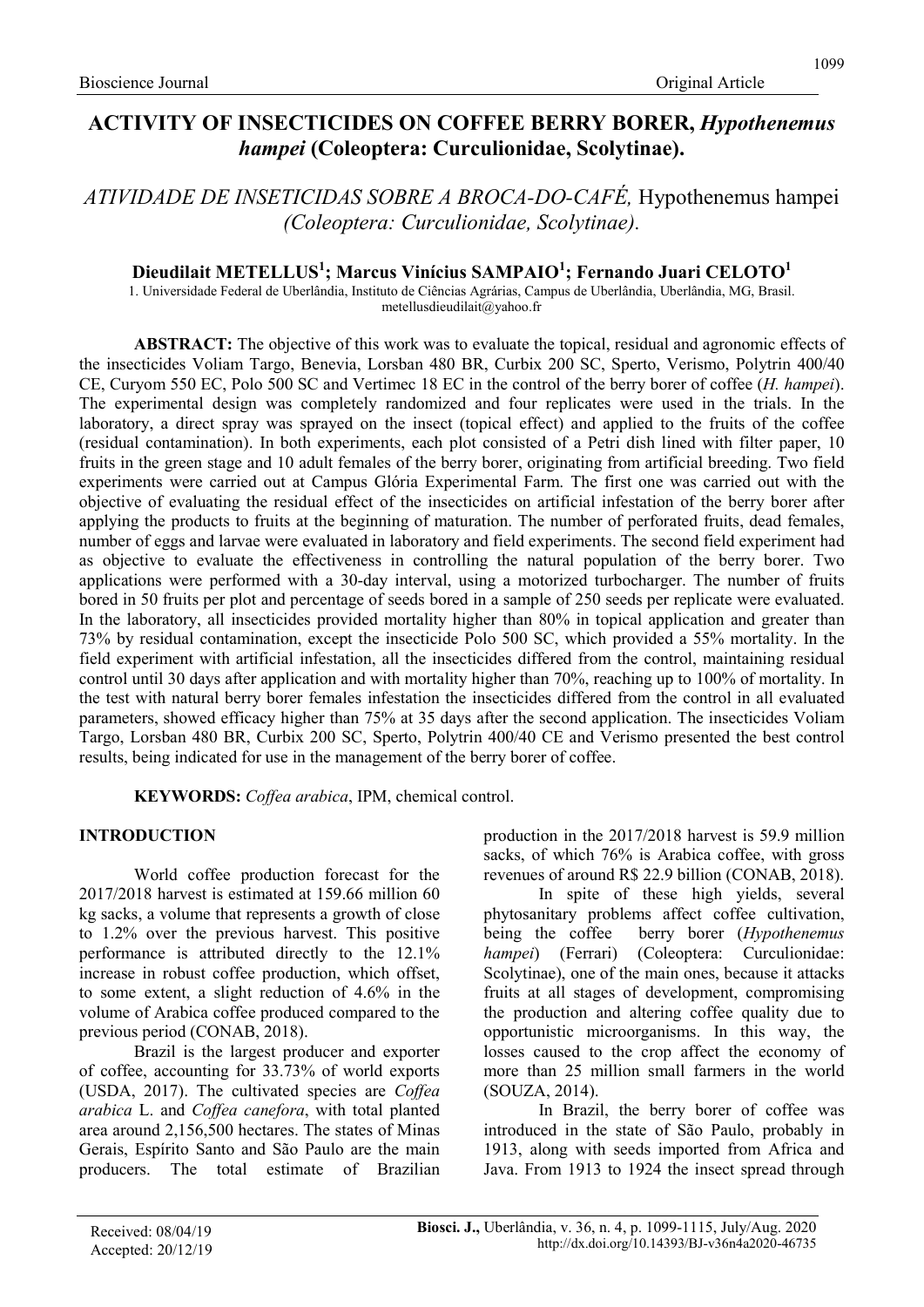# ACTIVITY OF INSECTICIDES ON COFFEE BERRY BORER, Hypothenemus hampei (Coleoptera: Curculionidae, Scolytinae).

ATIVIDADE DE INSETICIDAS SOBRE A BROCA-DO-CAFÉ, Hypothenemus hampei (Coleoptera: Curculionidae, Scolytinae).

## Dieudilait METELLUS $^1$ ; Marcus Vinícius SAMPAIO $^1$ ; Fernando Juari CELOTO $^1$

1. Universidade Federal de Uberlândia, Instituto de Ciências Agrárias, Campus de Uberlândia, Uberlândia, MG, Brasil. metellusdieudilait@yahoo.fr

ABSTRACT: The objective of this work was to evaluate the topical, residual and agronomic effects of the insecticides Voliam Targo, Benevia, Lorsban 480 BR, Curbix 200 SC, Sperto, Verismo, Polytrin 400/40 CE, Curyom 550 EC, Polo 500 SC and Vertimec 18 EC in the control of the berry borer of coffee (H. hampei). The experimental design was completely randomized and four replicates were used in the trials. In the laboratory, a direct spray was sprayed on the insect (topical effect) and applied to the fruits of the coffee (residual contamination). In both experiments, each plot consisted of a Petri dish lined with filter paper, 10 fruits in the green stage and 10 adult females of the berry borer, originating from artificial breeding. Two field experiments were carried out at Campus Glória Experimental Farm. The first one was carried out with the objective of evaluating the residual effect of the insecticides on artificial infestation of the berry borer after applying the products to fruits at the beginning of maturation. The number of perforated fruits, dead females, number of eggs and larvae were evaluated in laboratory and field experiments. The second field experiment had as objective to evaluate the effectiveness in controlling the natural population of the berry borer. Two applications were performed with a 30-day interval, using a motorized turbocharger. The number of fruits bored in 50 fruits per plot and percentage of seeds bored in a sample of 250 seeds per replicate were evaluated. In the laboratory, all insecticides provided mortality higher than 80% in topical application and greater than 73% by residual contamination, except the insecticide Polo 500 SC, which provided a 55% mortality. In the field experiment with artificial infestation, all the insecticides differed from the control, maintaining residual control until 30 days after application and with mortality higher than 70%, reaching up to 100% of mortality. In the test with natural berry borer females infestation the insecticides differed from the control in all evaluated parameters, showed efficacy higher than 75% at 35 days after the second application. The insecticides Voliam Targo, Lorsban 480 BR, Curbix 200 SC, Sperto, Polytrin 400/40 CE and Verismo presented the best control results, being indicated for use in the management of the berry borer of coffee.

KEYWORDS: Coffea arabica, IPM, chemical control.

#### INTRODUCTION

World coffee production forecast for the 2017/2018 harvest is estimated at 159.66 million 60 kg sacks, a volume that represents a growth of close to 1.2% over the previous harvest. This positive performance is attributed directly to the 12.1% increase in robust coffee production, which offset, to some extent, a slight reduction of 4.6% in the volume of Arabica coffee produced compared to the previous period (CONAB, 2018).

Brazil is the largest producer and exporter of coffee, accounting for 33.73% of world exports (USDA, 2017). The cultivated species are Coffea arabica L. and Coffea canefora, with total planted area around 2,156,500 hectares. The states of Minas Gerais, Espírito Santo and São Paulo are the main producers. The total estimate of Brazilian production in the 2017/2018 harvest is 59.9 million sacks, of which 76% is Arabica coffee, with gross revenues of around R\$ 22.9 billion (CONAB, 2018).

In spite of these high yields, several phytosanitary problems affect coffee cultivation, being the coffee berry borer (Hypothenemus hampei) (Ferrari) (Coleoptera: Curculionidae: Scolytinae), one of the main ones, because it attacks fruits at all stages of development, compromising the production and altering coffee quality due to opportunistic microorganisms. In this way, the losses caused to the crop affect the economy of more than 25 million small farmers in the world (SOUZA, 2014).

In Brazil, the berry borer of coffee was introduced in the state of São Paulo, probably in 1913, along with seeds imported from Africa and Java. From 1913 to 1924 the insect spread through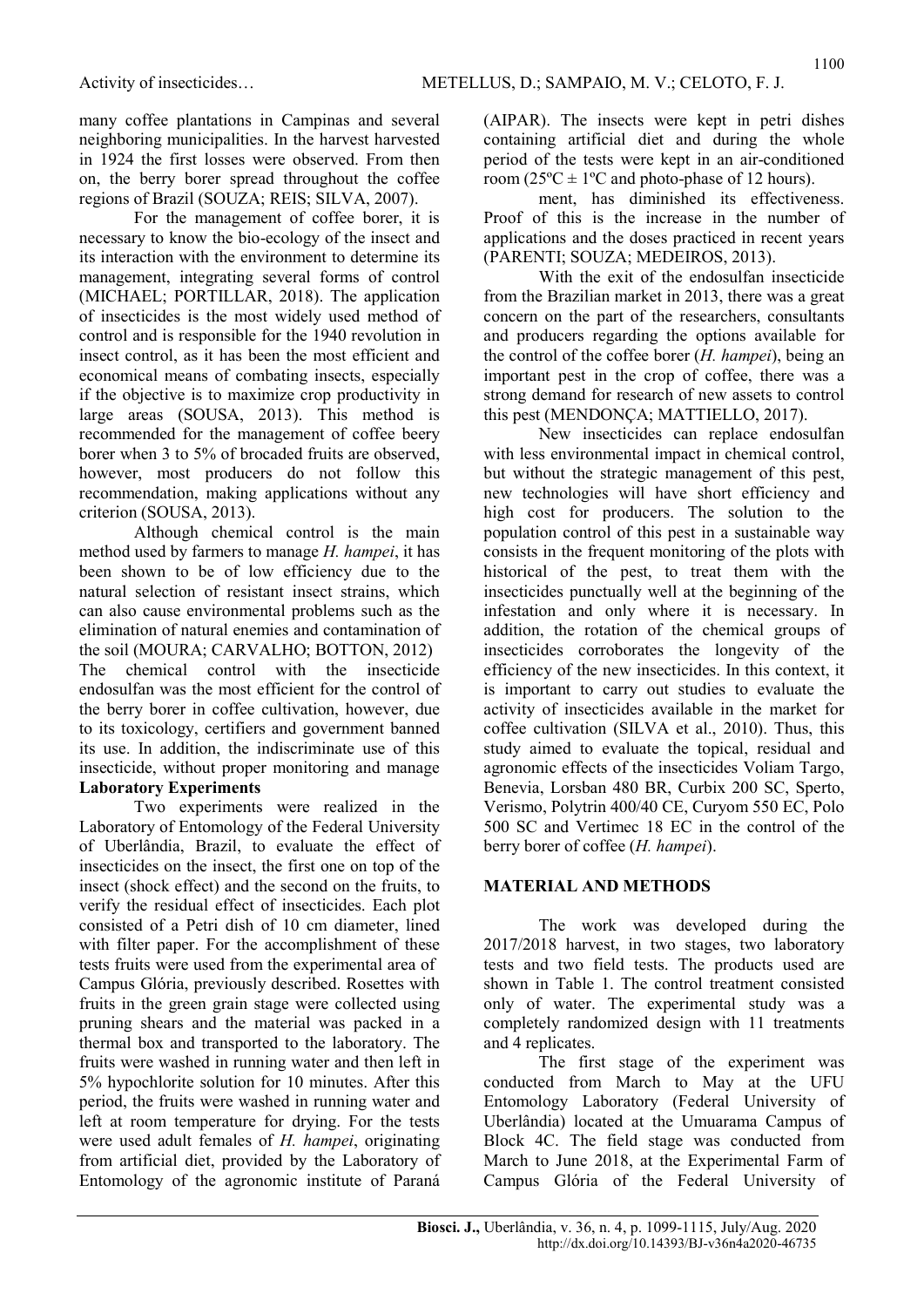many coffee plantations in Campinas and several neighboring municipalities. In the harvest harvested in 1924 the first losses were observed. From then on, the berry borer spread throughout the coffee regions of Brazil (SOUZA; REIS; SILVA, 2007).

For the management of coffee borer, it is necessary to know the bio-ecology of the insect and its interaction with the environment to determine its management, integrating several forms of control (MICHAEL; PORTILLAR, 2018). The application of insecticides is the most widely used method of control and is responsible for the 1940 revolution in insect control, as it has been the most efficient and economical means of combating insects, especially if the objective is to maximize crop productivity in large areas (SOUSA, 2013). This method is recommended for the management of coffee beery borer when 3 to 5% of brocaded fruits are observed, however, most producers do not follow this recommendation, making applications without any criterion (SOUSA, 2013).

Although chemical control is the main method used by farmers to manage H. hampei, it has been shown to be of low efficiency due to the natural selection of resistant insect strains, which can also cause environmental problems such as the elimination of natural enemies and contamination of the soil (MOURA; CARVALHO; BOTTON, 2012) The chemical control with the insecticide endosulfan was the most efficient for the control of the berry borer in coffee cultivation, however, due to its toxicology, certifiers and government banned its use. In addition, the indiscriminate use of this insecticide, without proper monitoring and manage Laboratory Experiments

Two experiments were realized in the Laboratory of Entomology of the Federal University of Uberlândia, Brazil, to evaluate the effect of insecticides on the insect, the first one on top of the insect (shock effect) and the second on the fruits, to verify the residual effect of insecticides. Each plot consisted of a Petri dish of 10 cm diameter, lined with filter paper. For the accomplishment of these tests fruits were used from the experimental area of Campus Glória, previously described. Rosettes with fruits in the green grain stage were collected using pruning shears and the material was packed in a thermal box and transported to the laboratory. The fruits were washed in running water and then left in 5% hypochlorite solution for 10 minutes. After this period, the fruits were washed in running water and left at room temperature for drying. For the tests were used adult females of H. hampei, originating from artificial diet, provided by the Laboratory of Entomology of the agronomic institute of Paraná (AIPAR). The insects were kept in petri dishes containing artificial diet and during the whole period of the tests were kept in an air-conditioned room  $(25^{\circ}\text{C} \pm 1^{\circ}\text{C}$  and photo-phase of 12 hours).

ment, has diminished its effectiveness. Proof of this is the increase in the number of applications and the doses practiced in recent years (PARENTI; SOUZA; MEDEIROS, 2013).

With the exit of the endosulfan insecticide from the Brazilian market in 2013, there was a great concern on the part of the researchers, consultants and producers regarding the options available for the control of the coffee borer  $(H. \; \text{hampei})$ , being an important pest in the crop of coffee, there was a strong demand for research of new assets to control this pest (MENDONÇA; MATTIELLO, 2017).

New insecticides can replace endosulfan with less environmental impact in chemical control, but without the strategic management of this pest, new technologies will have short efficiency and high cost for producers. The solution to the population control of this pest in a sustainable way consists in the frequent monitoring of the plots with historical of the pest, to treat them with the insecticides punctually well at the beginning of the infestation and only where it is necessary. In addition, the rotation of the chemical groups of insecticides corroborates the longevity of the efficiency of the new insecticides. In this context, it is important to carry out studies to evaluate the activity of insecticides available in the market for coffee cultivation (SILVA et al., 2010). Thus, this study aimed to evaluate the topical, residual and agronomic effects of the insecticides Voliam Targo, Benevia, Lorsban 480 BR, Curbix 200 SC, Sperto, Verismo, Polytrin 400/40 CE, Curyom 550 EC, Polo 500 SC and Vertimec 18 EC in the control of the berry borer of coffee (H. hampei).

#### MATERIAL AND METHODS

The work was developed during the 2017/2018 harvest, in two stages, two laboratory tests and two field tests. The products used are shown in Table 1. The control treatment consisted only of water. The experimental study was a completely randomized design with 11 treatments and 4 replicates.

The first stage of the experiment was conducted from March to May at the UFU Entomology Laboratory (Federal University of Uberlândia) located at the Umuarama Campus of Block 4C. The field stage was conducted from March to June 2018, at the Experimental Farm of Campus Glória of the Federal University of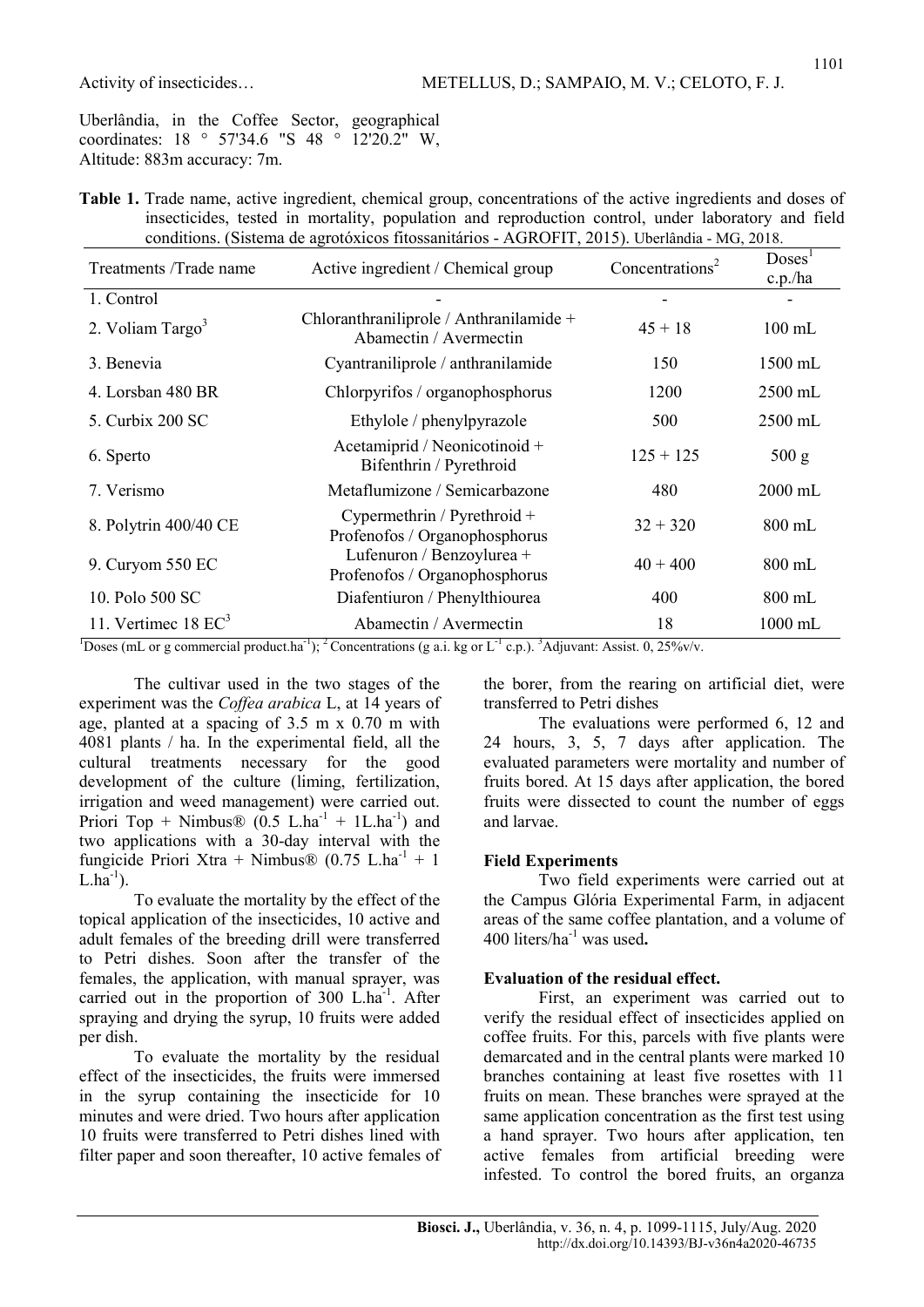1101

Uberlândia, in the Coffee Sector, geographical coordinates: 18 ° 57'34.6 "S 48 ° 12'20.2" W, Altitude: 883m accuracy: 7m.

|  |  |  | Table 1. Trade name, active ingredient, chemical group, concentrations of the active ingredients and doses of |  |  |  |
|--|--|--|---------------------------------------------------------------------------------------------------------------|--|--|--|
|  |  |  | insecticides, tested in mortality, population and reproduction control, under laboratory and field            |  |  |  |
|  |  |  | conditions. (Sistema de agrotóxicos fitossanitários - AGROFIT, 2015). Uberlândia - MG, 2018.                  |  |  |  |

| Treatments /Trade name         | Active ingredient / Chemical group                                | Concentrations <sup>2</sup> | Doses <sup>T</sup><br>c.p./ha |
|--------------------------------|-------------------------------------------------------------------|-----------------------------|-------------------------------|
| 1. Control                     |                                                                   |                             |                               |
| 2. Voliam $Targo3$             | Chloranthraniliprole / Anthranilamide +<br>Abamectin / Avermectin | $45 + 18$                   | $100 \text{ mL}$              |
| 3. Benevia                     | Cyantraniliprole / anthranilamide                                 | 150                         | $1500 \text{ mL}$             |
| 4. Lorsban 480 BR              | Chlorpyrifos / organophosphorus                                   | 1200                        | $2500$ mL                     |
| 5. Curbix 200 SC               | Ethylole / phenylpyrazole                                         | 500                         | $2500 \text{ mL}$             |
| 6. Sperto                      | Acetamiprid / Neonicotinoid +<br>Bifenthrin / Pyrethroid          | $125 + 125$                 | 500 g                         |
| 7. Verismo                     | Metaflumizone / Semicarbazone                                     | 480                         | $2000 \text{ mL}$             |
| 8. Polytrin 400/40 CE          | Cypermethrin / Pyrethroid +<br>Profenofos / Organophosphorus      | $32 + 320$                  | $800 \text{ mL}$              |
| 9. Curyom 550 EC               | Lufenuron / Benzoylurea +<br>Profenofos / Organophosphorus        | $40 + 400$                  | $800$ mL                      |
| 10. Polo 500 SC                | Diafentiuron / Phenylthiourea                                     | 400                         | $800 \text{ mL}$              |
| 11. Vertimec $18 \text{ EC}^3$ | Abamectin / Avermectin                                            | 18                          | 1000 mL                       |

<sup>1</sup>Doses (mL or g commercial product.ha<sup>-1</sup>); <sup>2</sup>Concentrations (g a.i. kg or L<sup>-1</sup> c.p.). <sup>3</sup>Adjuvant: Assist. 0, 25%v/v.

The cultivar used in the two stages of the experiment was the Coffea arabica L, at 14 years of age, planted at a spacing of 3.5 m x 0.70 m with 4081 plants / ha. In the experimental field, all the cultural treatments necessary for the good development of the culture (liming, fertilization, irrigation and weed management) were carried out. Priori Top + Nimbus® (0.5 L.ha<sup>-1</sup> + 1L.ha<sup>-1</sup>) and two applications with a 30-day interval with the fungicide Priori Xtra + Nimbus® (0.75 L.ha<sup>-1</sup> + 1  $L.ha^{-1}$ ).

To evaluate the mortality by the effect of the topical application of the insecticides, 10 active and adult females of the breeding drill were transferred to Petri dishes. Soon after the transfer of the females, the application, with manual sprayer, was carried out in the proportion of  $300$  L.ha<sup>-1</sup>. After spraying and drying the syrup, 10 fruits were added per dish.

To evaluate the mortality by the residual effect of the insecticides, the fruits were immersed in the syrup containing the insecticide for 10 minutes and were dried. Two hours after application 10 fruits were transferred to Petri dishes lined with filter paper and soon thereafter, 10 active females of the borer, from the rearing on artificial diet, were transferred to Petri dishes

The evaluations were performed 6, 12 and 24 hours, 3, 5, 7 days after application. The evaluated parameters were mortality and number of fruits bored. At 15 days after application, the bored fruits were dissected to count the number of eggs and larvae.

#### Field Experiments

Two field experiments were carried out at the Campus Glória Experimental Farm, in adjacent areas of the same coffee plantation, and a volume of 400 liters/ha<sup>-1</sup> was used.

#### Evaluation of the residual effect.

First, an experiment was carried out to verify the residual effect of insecticides applied on coffee fruits. For this, parcels with five plants were demarcated and in the central plants were marked 10 branches containing at least five rosettes with 11 fruits on mean. These branches were sprayed at the same application concentration as the first test using a hand sprayer. Two hours after application, ten active females from artificial breeding were infested. To control the bored fruits, an organza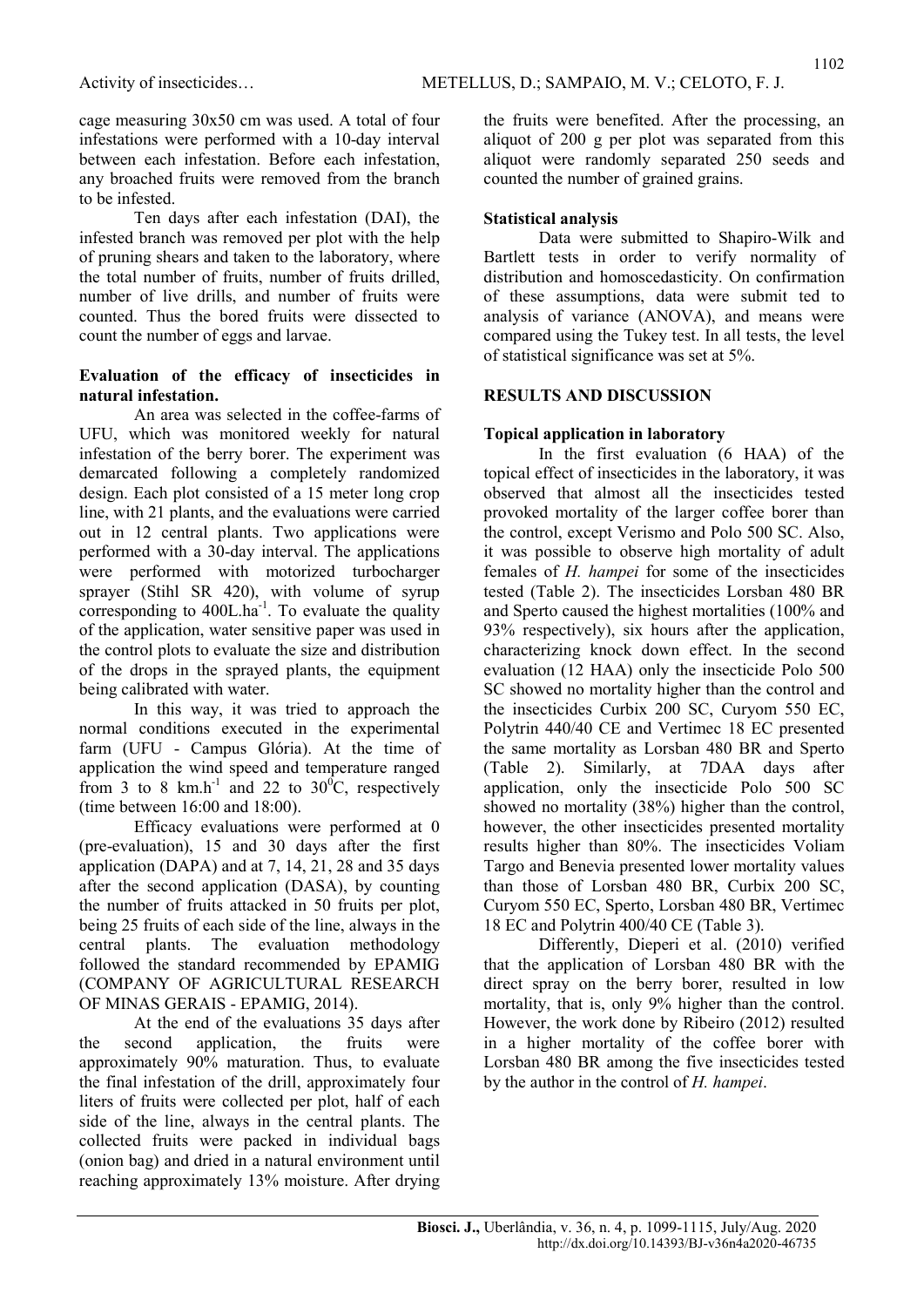cage measuring 30x50 cm was used. A total of four infestations were performed with a 10-day interval between each infestation. Before each infestation, any broached fruits were removed from the branch to be infested.

Ten days after each infestation (DAI), the infested branch was removed per plot with the help of pruning shears and taken to the laboratory, where the total number of fruits, number of fruits drilled, number of live drills, and number of fruits were counted. Thus the bored fruits were dissected to count the number of eggs and larvae.

#### Evaluation of the efficacy of insecticides in natural infestation.

An area was selected in the coffee-farms of UFU, which was monitored weekly for natural infestation of the berry borer. The experiment was demarcated following a completely randomized design. Each plot consisted of a 15 meter long crop line, with 21 plants, and the evaluations were carried out in 12 central plants. Two applications were performed with a 30-day interval. The applications were performed with motorized turbocharger sprayer (Stihl SR 420), with volume of syrup corresponding to  $400L.ha^{-1}$ . To evaluate the quality of the application, water sensitive paper was used in the control plots to evaluate the size and distribution of the drops in the sprayed plants, the equipment being calibrated with water.

In this way, it was tried to approach the normal conditions executed in the experimental farm (UFU - Campus Glória). At the time of application the wind speed and temperature ranged from 3 to 8 km.h<sup>-1</sup> and 22 to 30<sup>o</sup>C, respectively (time between 16:00 and 18:00).

Efficacy evaluations were performed at 0 (pre-evaluation), 15 and 30 days after the first application (DAPA) and at 7, 14, 21, 28 and 35 days after the second application (DASA), by counting the number of fruits attacked in 50 fruits per plot, being 25 fruits of each side of the line, always in the central plants. The evaluation methodology followed the standard recommended by EPAMIG (COMPANY OF AGRICULTURAL RESEARCH OF MINAS GERAIS - EPAMIG, 2014).

At the end of the evaluations 35 days after the second application, the fruits were approximately 90% maturation. Thus, to evaluate the final infestation of the drill, approximately four liters of fruits were collected per plot, half of each side of the line, always in the central plants. The collected fruits were packed in individual bags (onion bag) and dried in a natural environment until reaching approximately 13% moisture. After drying the fruits were benefited. After the processing, an aliquot of 200 g per plot was separated from this aliquot were randomly separated 250 seeds and counted the number of grained grains.

### Statistical analysis

Data were submitted to Shapiro-Wilk and Bartlett tests in order to verify normality of distribution and homoscedasticity. On confirmation of these assumptions, data were submit ted to analysis of variance (ANOVA), and means were compared using the Tukey test. In all tests, the level of statistical significance was set at 5%.

#### RESULTS AND DISCUSSION

## Topical application in laboratory

In the first evaluation (6 HAA) of the topical effect of insecticides in the laboratory, it was observed that almost all the insecticides tested provoked mortality of the larger coffee borer than the control, except Verismo and Polo 500 SC. Also, it was possible to observe high mortality of adult females of H. hampei for some of the insecticides tested (Table 2). The insecticides Lorsban 480 BR and Sperto caused the highest mortalities (100% and 93% respectively), six hours after the application, characterizing knock down effect. In the second evaluation (12 HAA) only the insecticide Polo 500 SC showed no mortality higher than the control and the insecticides Curbix 200 SC, Curyom 550 EC, Polytrin 440/40 CE and Vertimec 18 EC presented the same mortality as Lorsban 480 BR and Sperto (Table 2). Similarly, at 7DAA days after application, only the insecticide Polo 500 SC showed no mortality (38%) higher than the control, however, the other insecticides presented mortality results higher than 80%. The insecticides Voliam Targo and Benevia presented lower mortality values than those of Lorsban 480 BR, Curbix 200 SC, Curyom 550 EC, Sperto, Lorsban 480 BR, Vertimec 18 EC and Polytrin 400/40 CE (Table 3).

Differently, Dieperi et al. (2010) verified that the application of Lorsban 480 BR with the direct spray on the berry borer, resulted in low mortality, that is, only 9% higher than the control. However, the work done by Ribeiro (2012) resulted in a higher mortality of the coffee borer with Lorsban 480 BR among the five insecticides tested by the author in the control of H. hampei.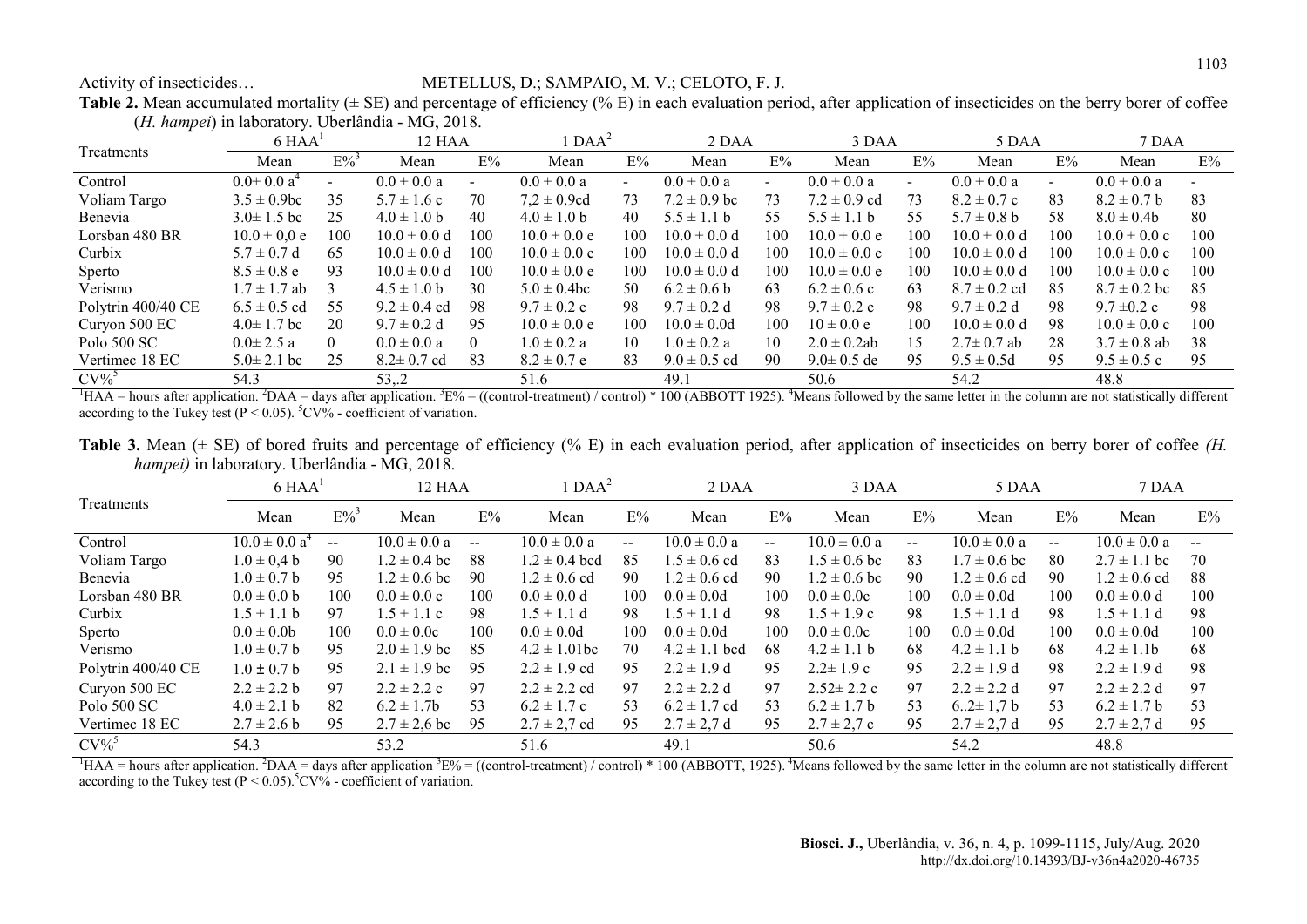#### Activity of insecticides… METELLUS, D.; SAMPAIO, M. V.; CELOTO, F. J.

**Table 2.** Mean accumulated mortality ( $\pm$  SE) and percentage of efficiency (% E) in each evaluation period, after application of insecticides on the berry borer of coffee (H. hampei) in laboratory. Uberlândia - MG, 2018.

|                    |                   | $6$ HAA <sup>1</sup> |                  | 12 HAA   | $\text{DAA}^2$   |                | 2 DAA            |     | 3 DAA            |     | 5 DAA            |        | 7 DAA                    |     |
|--------------------|-------------------|----------------------|------------------|----------|------------------|----------------|------------------|-----|------------------|-----|------------------|--------|--------------------------|-----|
| Treatments         | Mean              | $E\%$ <sup>3</sup>   | Mean             | E%       | Mean             | E%             | Mean             | E%  | Mean             | E%  | Mean             | E%     | Mean                     | E%  |
| Control            | $0.0 \pm 0.0 a^4$ |                      | $0.0 \pm 0.0 a$  |          | $0.0 \pm 0.0 a$  | $\blacksquare$ | $0.0 \pm 0.0 a$  |     | $0.0 \pm 0.0 a$  |     | $0.0 \pm 0.0 a$  | $\sim$ | $0.0 \pm 0.0 a$          |     |
| Voliam Targo       | $3.5 \pm 0.9$ bc  | 35                   | $5.7 \pm 1.6$ c  | 70       | $7.2 \pm 0.9$ cd | 73             | $7.2 \pm 0.9$ bc | 73  | $7.2 \pm 0.9$ cd | 73  | $8.2 \pm 0.7$ c  | 83     | $8.2 \pm 0.7$ b          | 83  |
| Benevia            | $3.0 \pm 1.5$ bc  | 25                   | $4.0 \pm 1.0 b$  | 40       | $4.0 \pm 1.0 b$  | 40             | $5.5 \pm 1.1$ b  | 55. | $5.5 \pm 1.1 b$  | 55  | $5.7 \pm 0.8$ b  | 58     | $8.0 \pm 0.4$            | 80  |
| Lorsban 480 BR     | $10.0 \pm 0.0 e$  | 100                  | $10.0 \pm 0.0 d$ | 100      | $10.0 \pm 0.0 e$ | 100            | $10.0 \pm 0.0 d$ | 100 | $10.0 \pm 0.0 e$ | 100 | $10.0 \pm 0.0 d$ | 100    | $10.0 \pm 0.0 \text{ c}$ | 100 |
| Curbix             | $5.7 \pm 0.7$ d   | 65                   | $10.0 \pm 0.0 d$ | 100      | $10.0 \pm 0.0 e$ | 100            | $10.0 \pm 0.0 d$ | 100 | $10.0 \pm 0.0 e$ | 100 | $10.0 \pm 0.0 d$ | 100    | $10.0 \pm 0.0 \text{ c}$ | 100 |
| Sperto             | $8.5 \pm 0.8$ e   | 93                   | $10.0 \pm 0.0 d$ | 100      | $10.0 \pm 0.0 e$ | 100            | $10.0 \pm 0.0 d$ | 100 | $10.0 \pm 0.0 e$ | 100 | $10.0 \pm 0.0 d$ | 100    | $10.0 \pm 0.0 \text{ c}$ | 100 |
| Verismo            | $7 \pm 1.7$ ab    |                      | $4.5 \pm 1.0$ b  | 30       | $5.0 \pm 0.4$ bc | 50             | $6.2 \pm 0.6$ b  | 63  | $6.2 \pm 0.6$ c  | 63  | $8.7 \pm 0.2$ cd | 85     | $8.7 \pm 0.2$ bc         | 85  |
| Polytrin 400/40 CE | $6.5 \pm 0.5$ cd  | 55                   | $9.2 \pm 0.4$ cd | 98       | $9.7 \pm 0.2$ e  | 98             | $9.7 \pm 0.2$ d  | 98  | $9.7 \pm 0.2$ e  | 98  | $9.7 \pm 0.2$ d  | 98     | $9.7 \pm 0.2$ c          | 98  |
| Curyon 500 EC      | $4.0 \pm 1.7$ bc  | 20                   | $9.7 \pm 0.2$ d  | 95       | $10.0 \pm 0.0 e$ | 100            | $10.0 \pm 0.0d$  | 100 | $10 \pm 0.0 e$   | 100 | $10.0 \pm 0.0 d$ | 98     | $10.0 \pm 0.0 c$         | 100 |
| Polo 500 SC        | $0.0 \pm 2.5 a$   | $\theta$             | $0.0 \pm 0.0 a$  | $\theta$ | $1.0 \pm 0.2$ a  | 10             | $1.0 \pm 0.2 a$  | 10  | $2.0 \pm 0.2$ ab | 15  | $2.7 \pm 0.7$ ab | 28     | $3.7 \pm 0.8$ ab         | 38  |
| Vertimec 18 EC     | $5.0 \pm 2.1$ bc  | 25                   | $8.2 \pm 0.7$ cd | 83       | $8.2 \pm 0.7$ e  | 83             | $9.0 \pm 0.5$ cd | 90  | $9.0 \pm 0.5$ de | 95  | $9.5 \pm 0.5d$   | 95     | $9.5 \pm 0.5$ c          | 95  |
| $CV\%$             | 54.3              |                      | 53,.2            |          | 51.6             |                | 49.1             |     | 50.6             |     | 54.2             |        | 48.8                     |     |

 ${}^{1}$ HAA = hours after application. <sup>2</sup>DAA = days after application. <sup>3</sup>E% = ((control-treatment) / control) \* 100 (ABBOTT 1925). <sup>4</sup>Means followed by the same letter in the column are not statistically different according to the Tukey test ( $P \le 0.05$ ).  $^5CV\%$  - coefficient of variation.

Table 3. Mean  $(\pm S)$  of bored fruits and percentage of efficiency (% E) in each evaluation period, after application of insecticides on berry borer of coffee (H. hampei) in laboratory. Uberlândia - MG, 2018.

|                    | $6$ HAA <sup>1</sup> |                                       | 12 HAA           |       | $DAA^2$           |       | 2 DAA             |       | 3 DAA            |              | 5 DAA            |       | 7 DAA            |     |
|--------------------|----------------------|---------------------------------------|------------------|-------|-------------------|-------|-------------------|-------|------------------|--------------|------------------|-------|------------------|-----|
| Treatments         | Mean                 | $E\%$ <sup>3</sup>                    | Mean             | E%    | Mean              | E%    | Mean              | E%    | Mean             | E%           | Mean             | E%    | Mean             | E%  |
| Control            | $10.0 \pm 0.0 a^4$   | $\hspace{0.05cm}$ – $\hspace{0.05cm}$ | $10.0 \pm 0.0 a$ | $- -$ | $10.0 \pm 0.0 a$  | $- -$ | $10.0 \pm 0.0 a$  | $- -$ | $10.0 \pm 0.0 a$ | $\mathbf{u}$ | $10.0 \pm 0.0 a$ | $- -$ | $10.0 \pm 0.0 a$ | $-$ |
| Voliam Targo       | $1.0 \pm 0.4 b$      | 90                                    | $1.2 \pm 0.4$ bc | 88    | $1.2 \pm 0.4$ bcd | 85    | $1.5 \pm 0.6$ cd  | 83    | $1.5 \pm 0.6$ bc | 83           | $1.7 \pm 0.6$ bc | 80    | $2.7 \pm 1.1$ bc | 70  |
| Benevia            | $1.0 \pm 0.7 b$      | 95                                    | $1.2 \pm 0.6$ bc | 90    | $1.2 \pm 0.6$ cd  | 90    | $1.2 \pm 0.6$ cd  | 90    | $1.2 \pm 0.6$ bc | 90           | $1.2 \pm 0.6$ cd | 90    | $1.2 \pm 0.6$ cd | 88  |
| Lorsban 480 BR     | $0.0 \pm 0.0$ b      | 100                                   | $0.0 \pm 0.0 c$  | 100   | $0.0 \pm 0.0 d$   | 100   | $0.0 \pm 0.0d$    | 100   | $0.0 \pm 0.0c$   | 100          | $0.0 \pm 0.0d$   | 100   | $0.0 \pm 0.0 d$  | 100 |
| Curbix             | $.5 \pm 1.1$ b       | 97                                    | $1.5 \pm 1.1$ c  | 98    | $1.5 \pm 1.1$ d   | 98    | $1.5 \pm 1.1$ d   | 98    | $1.5 \pm 1.9$ c  | 98           | $1.5 \pm 1.1$ d  | 98    | $1.5 \pm 1.1$ d  | 98  |
| Sperto             | $0.0 \pm 0.0$        | 100                                   | $0.0 \pm 0.0c$   | 100   | $0.0 \pm 0.0d$    | 100   | $0.0 \pm 0.0d$    | 100   | $0.0 \pm 0.0c$   | 100          | $0.0 \pm 0.0d$   | 100   | $0.0 \pm 0.0d$   | 100 |
| Verismo            | $1.0 \pm 0.7 b$      | 95                                    | $2.0 \pm 1.9$ bc | 85    | $4.2 \pm 1.01$ bc | 70    | $4.2 \pm 1.1$ bcd | 68    | $4.2 \pm 1.1$ b  | 68           | $4.2 \pm 1.1$ b  | 68    | $4.2 \pm 1.1$    | 68  |
| Polytrin 400/40 CE | $1.0 \pm 0.7 b$      | 95                                    | $2.1 \pm 1.9$ bc | 95    | $2.2 \pm 1.9$ cd  | 95    | $2.2 \pm 1.9$ d   | 95    | $2.2 \pm 1.9$ c  | 95           | $2.2 \pm 1.9$ d  | 98    | $2.2 \pm 1.9$ d  | 98  |
| Curyon 500 EC      | $2.2 \pm 2.2 b$      | 97                                    | $2.2 \pm 2.2$ c  | 97    | $2.2 \pm 2.2$ cd  | 97    | $2.2 \pm 2.2$ d   | 97    | $2.52 \pm 2.2$ c | 97           | $2.2 \pm 2.2$ d  | 97    | $2.2 \pm 2.2$ d  | 97  |
| Polo 500 SC        | $4.0 \pm 2.1 b$      | 82                                    | $6.2 \pm 1.7$    | 53    | $6.2 \pm 1.7$ c   | 53    | $6.2 \pm 1.7$ cd  | 53    | $6.2 \pm 1.7$ b  | 53           | $6.2 \pm 1.7 b$  | 53    | $6.2 \pm 1.7$ b  | 53  |
| Vertimec 18 EC     | $2.7 \pm 2.6 b$      | 95                                    | $2.7 \pm 2.6$ bc | 95    | $2.7 \pm 2.7$ cd  | 95    | $2.7 \pm 2.7$ d   | 95    | $2.7 \pm 2.7$ c  | 95           | $2.7 \pm 2.7$ d  | 95    | $2.7 \pm 2.7$ d  | 95  |
| $CV\%$             | 54.3                 |                                       | 53.2             |       | 51.6              |       | 49.1              |       | 50.6             |              | 54.2             |       | 48.8             |     |

<sup>1</sup>HAA = hours after application. <sup>2</sup>DAA = days after application  ${}^{3}E\%$  = ((control-treatment) / control) \* 100 (ABBOTT, 1925).<sup>4</sup>Means followed by the same letter in the column are not statistically different according to the Tukey test  $(P < 0.05)$ .<sup>5</sup>CV% - coefficient of variation.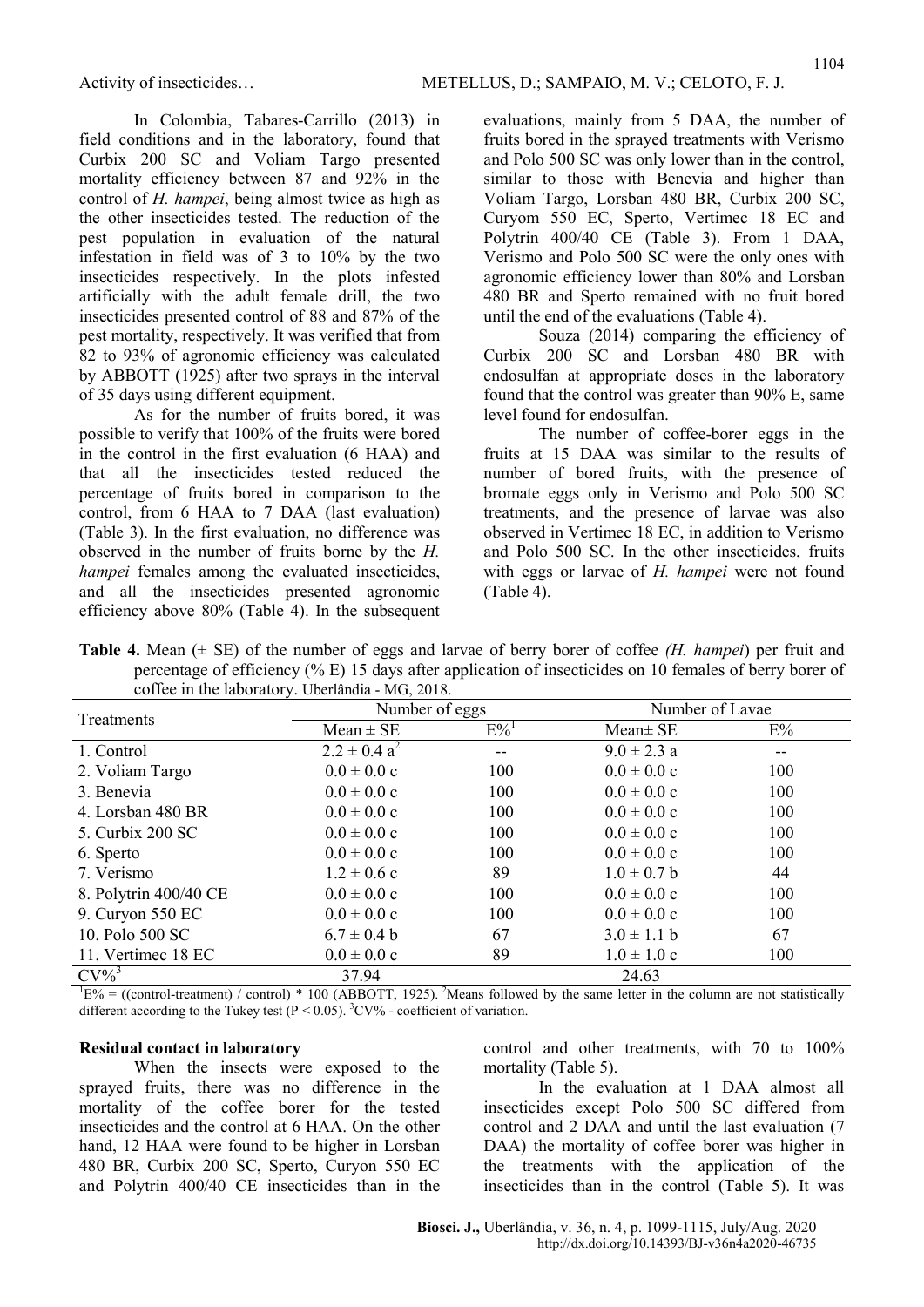In Colombia, Tabares-Carrillo (2013) in field conditions and in the laboratory, found that Curbix 200 SC and Voliam Targo presented mortality efficiency between 87 and 92% in the control of H. hampei, being almost twice as high as the other insecticides tested. The reduction of the pest population in evaluation of the natural infestation in field was of 3 to 10% by the two insecticides respectively. In the plots infested artificially with the adult female drill, the two insecticides presented control of 88 and 87% of the pest mortality, respectively. It was verified that from 82 to 93% of agronomic efficiency was calculated by ABBOTT (1925) after two sprays in the interval of 35 days using different equipment.

As for the number of fruits bored, it was possible to verify that 100% of the fruits were bored in the control in the first evaluation (6 HAA) and that all the insecticides tested reduced the percentage of fruits bored in comparison to the control, from 6 HAA to 7 DAA (last evaluation) (Table 3). In the first evaluation, no difference was observed in the number of fruits borne by the H. hampei females among the evaluated insecticides, and all the insecticides presented agronomic efficiency above 80% (Table 4). In the subsequent evaluations, mainly from 5 DAA, the number of fruits bored in the sprayed treatments with Verismo and Polo 500 SC was only lower than in the control, similar to those with Benevia and higher than Voliam Targo, Lorsban 480 BR, Curbix 200 SC, Curyom 550 EC, Sperto, Vertimec 18 EC and Polytrin 400/40 CE (Table 3). From 1 DAA, Verismo and Polo 500 SC were the only ones with agronomic efficiency lower than 80% and Lorsban 480 BR and Sperto remained with no fruit bored until the end of the evaluations (Table 4).

Souza (2014) comparing the efficiency of Curbix 200 SC and Lorsban 480 BR with endosulfan at appropriate doses in the laboratory found that the control was greater than 90% E, same level found for endosulfan.

The number of coffee-borer eggs in the fruits at 15 DAA was similar to the results of number of bored fruits, with the presence of bromate eggs only in Verismo and Polo 500 SC treatments, and the presence of larvae was also observed in Vertimec 18 EC, in addition to Verismo and Polo 500 SC. In the other insecticides, fruits with eggs or larvae of H. hampei were not found (Table 4).

| <b>Table 4.</b> Mean $(\pm \text{ SE})$ of the number of eggs and larvae of berry borer of coffee <i>(H. hampei)</i> per fruit and |  |  |
|------------------------------------------------------------------------------------------------------------------------------------|--|--|
| percentage of efficiency (% E) 15 days after application of insecticides on 10 females of berry borer of                           |  |  |
| coffee in the laboratory. Uberlândia - MG, 2018.                                                                                   |  |  |

| $\bullet$ once in the rac cratch $\mu$ , coemand in $\sigma$ , 2010. |                         |                    |                 |     |  |  |  |  |  |  |
|----------------------------------------------------------------------|-------------------------|--------------------|-----------------|-----|--|--|--|--|--|--|
| Treatments                                                           | Number of eggs          |                    | Number of Lavae |     |  |  |  |  |  |  |
|                                                                      | $Mean \pm SE$           | $E\%$ <sup>1</sup> | $Mean \pm SE$   | E%  |  |  |  |  |  |  |
| 1. Control                                                           | $2.2 \pm 0.4 a^2$       |                    | $9.0 \pm 2.3$ a |     |  |  |  |  |  |  |
| 2. Voliam Targo                                                      | $0.0 \pm 0.0 c$         | 100                | $0.0 \pm 0.0 c$ | 100 |  |  |  |  |  |  |
| 3. Benevia                                                           | $0.0 \pm 0.0 \text{ c}$ | 100                | $0.0 \pm 0.0 c$ | 100 |  |  |  |  |  |  |
| 4. Lorsban 480 BR                                                    | $0.0 \pm 0.0 c$         | 100                | $0.0 \pm 0.0 c$ | 100 |  |  |  |  |  |  |
| 5. Curbix 200 SC                                                     | $0.0 \pm 0.0 c$         | 100                | $0.0 \pm 0.0 c$ | 100 |  |  |  |  |  |  |
| 6. Sperto                                                            | $0.0 \pm 0.0 c$         | 100                | $0.0 \pm 0.0 c$ | 100 |  |  |  |  |  |  |
| 7. Verismo                                                           | $1.2 \pm 0.6$ c         | 89                 | $1.0 \pm 0.7$ b | 44  |  |  |  |  |  |  |
| 8. Polytrin 400/40 CE                                                | $0.0 \pm 0.0 \text{ c}$ | 100                | $0.0 \pm 0.0 c$ | 100 |  |  |  |  |  |  |
| 9. Curyon 550 EC                                                     | $0.0 \pm 0.0 c$         | 100                | $0.0 \pm 0.0 c$ | 100 |  |  |  |  |  |  |
| 10. Polo 500 SC                                                      | $6.7 \pm 0.4$ b         | 67                 | $3.0 \pm 1.1 b$ | 67  |  |  |  |  |  |  |
| 11. Vertimec 18 EC                                                   | $0.0 \pm 0.0 c$         | 89                 | $1.0 \pm 1.0 c$ | 100 |  |  |  |  |  |  |
| $CV\%$ <sup>3</sup>                                                  | 37.94                   |                    | 24.63           |     |  |  |  |  |  |  |

 ${}^{1}E\%$  = ((control-treatment) / control) \* 100 (ABBOTT, 1925). <sup>2</sup>Means followed by the same letter in the column are not statistically different according to the Tukey test  $(P < 0.05)$ . <sup>3</sup>CV% - coefficient of variation.

#### Residual contact in laboratory

When the insects were exposed to the sprayed fruits, there was no difference in the mortality of the coffee borer for the tested insecticides and the control at 6 HAA. On the other hand, 12 HAA were found to be higher in Lorsban 480 BR, Curbix 200 SC, Sperto, Curyon 550 EC and Polytrin 400/40 CE insecticides than in the control and other treatments, with 70 to 100% mortality (Table 5).

In the evaluation at 1 DAA almost all insecticides except Polo 500 SC differed from control and 2 DAA and until the last evaluation (7 DAA) the mortality of coffee borer was higher in the treatments with the application of the insecticides than in the control (Table 5). It was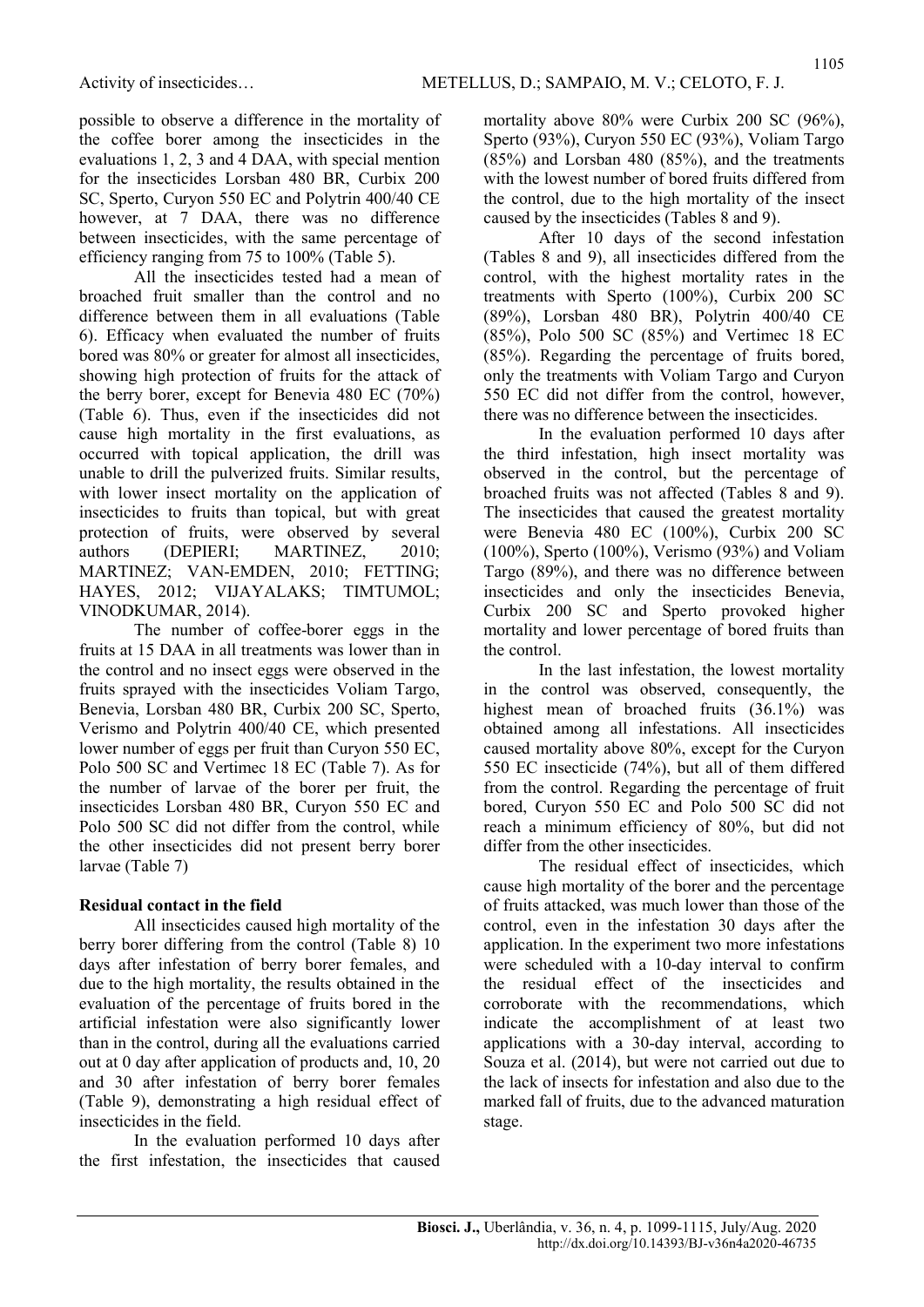possible to observe a difference in the mortality of the coffee borer among the insecticides in the evaluations 1, 2, 3 and 4 DAA, with special mention for the insecticides Lorsban 480 BR, Curbix 200 SC, Sperto, Curyon 550 EC and Polytrin 400/40 CE however, at 7 DAA, there was no difference between insecticides, with the same percentage of efficiency ranging from 75 to 100% (Table 5).

All the insecticides tested had a mean of broached fruit smaller than the control and no difference between them in all evaluations (Table 6). Efficacy when evaluated the number of fruits bored was 80% or greater for almost all insecticides, showing high protection of fruits for the attack of the berry borer, except for Benevia 480 EC (70%) (Table 6). Thus, even if the insecticides did not cause high mortality in the first evaluations, as occurred with topical application, the drill was unable to drill the pulverized fruits. Similar results, with lower insect mortality on the application of insecticides to fruits than topical, but with great protection of fruits, were observed by several authors (DEPIERI; MARTINEZ, 2010; MARTINEZ; VAN-EMDEN, 2010; FETTING; HAYES, 2012; VIJAYALAKS; TIMTUMOL; VINODKUMAR, 2014).

The number of coffee-borer eggs in the fruits at 15 DAA in all treatments was lower than in the control and no insect eggs were observed in the fruits sprayed with the insecticides Voliam Targo, Benevia, Lorsban 480 BR, Curbix 200 SC, Sperto, Verismo and Polytrin 400/40 CE, which presented lower number of eggs per fruit than Curyon 550 EC, Polo 500 SC and Vertimec 18 EC (Table 7). As for the number of larvae of the borer per fruit, the insecticides Lorsban 480 BR, Curyon 550 EC and Polo 500 SC did not differ from the control, while the other insecticides did not present berry borer larvae (Table 7)

#### Residual contact in the field

All insecticides caused high mortality of the berry borer differing from the control (Table 8) 10 days after infestation of berry borer females, and due to the high mortality, the results obtained in the evaluation of the percentage of fruits bored in the artificial infestation were also significantly lower than in the control, during all the evaluations carried out at 0 day after application of products and, 10, 20 and 30 after infestation of berry borer females (Table 9), demonstrating a high residual effect of insecticides in the field.

In the evaluation performed 10 days after the first infestation, the insecticides that caused mortality above 80% were Curbix 200 SC (96%), Sperto (93%), Curyon 550 EC (93%), Voliam Targo (85%) and Lorsban 480 (85%), and the treatments with the lowest number of bored fruits differed from the control, due to the high mortality of the insect caused by the insecticides (Tables 8 and 9).

After 10 days of the second infestation (Tables 8 and 9), all insecticides differed from the control, with the highest mortality rates in the treatments with Sperto (100%), Curbix 200 SC (89%), Lorsban 480 BR), Polytrin 400/40 CE (85%), Polo 500 SC (85%) and Vertimec 18 EC (85%). Regarding the percentage of fruits bored, only the treatments with Voliam Targo and Curyon 550 EC did not differ from the control, however, there was no difference between the insecticides.

In the evaluation performed 10 days after the third infestation, high insect mortality was observed in the control, but the percentage of broached fruits was not affected (Tables 8 and 9). The insecticides that caused the greatest mortality were Benevia 480 EC (100%), Curbix 200 SC (100%), Sperto (100%), Verismo (93%) and Voliam Targo (89%), and there was no difference between insecticides and only the insecticides Benevia, Curbix 200 SC and Sperto provoked higher mortality and lower percentage of bored fruits than the control.

In the last infestation, the lowest mortality in the control was observed, consequently, the highest mean of broached fruits (36.1%) was obtained among all infestations. All insecticides caused mortality above 80%, except for the Curyon 550 EC insecticide (74%), but all of them differed from the control. Regarding the percentage of fruit bored, Curyon 550 EC and Polo 500 SC did not reach a minimum efficiency of 80%, but did not differ from the other insecticides.

The residual effect of insecticides, which cause high mortality of the borer and the percentage of fruits attacked, was much lower than those of the control, even in the infestation 30 days after the application. In the experiment two more infestations were scheduled with a 10-day interval to confirm the residual effect of the insecticides and corroborate with the recommendations, which indicate the accomplishment of at least two applications with a 30-day interval, according to Souza et al. (2014), but were not carried out due to the lack of insects for infestation and also due to the marked fall of fruits, due to the advanced maturation stage.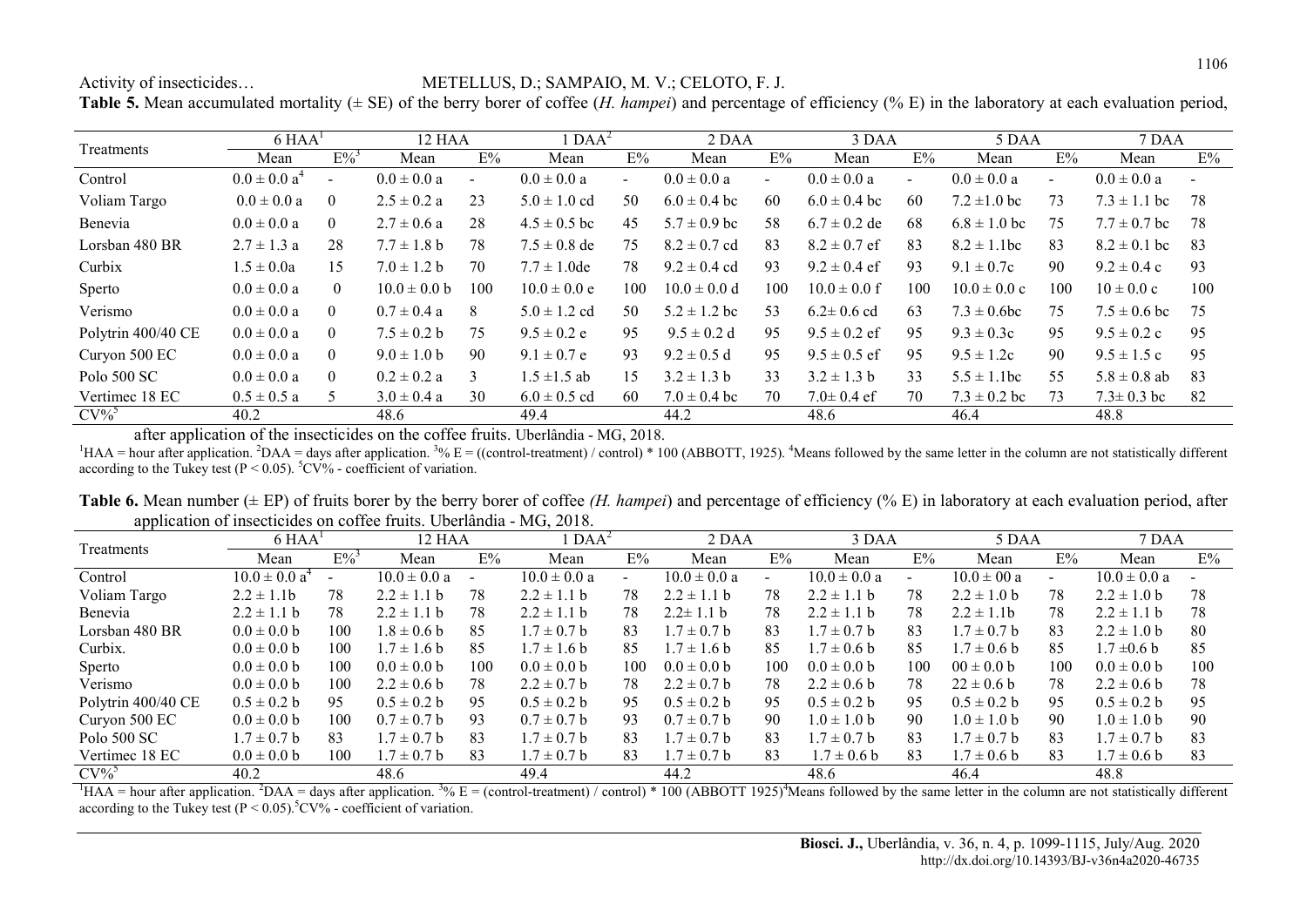Activity of insecticides… METELLUS, D.; SAMPAIO, M. V.; CELOTO, F. J.

Table 5. Mean accumulated mortality ( $\pm$  SE) of the berry borer of coffee (*H. hampei*) and percentage of efficiency (% E) in the laboratory at each evaluation period,

|                    | $6$ HAA <sup>1</sup> |                    | 12 HAA           |               | $\Delta A^2$     |                | 2 DAA            |        | 3 DAA            |        | 5 DAA                       |                          | 7 DAA                  |     |
|--------------------|----------------------|--------------------|------------------|---------------|------------------|----------------|------------------|--------|------------------|--------|-----------------------------|--------------------------|------------------------|-----|
| Treatments         | Mean                 | $E\%$ <sup>3</sup> | Mean             | E%            | Mean             | E%             | Mean             | E%     | Mean             | E%     | Mean                        | E%                       | Mean                   | E%  |
| Control            | $0.0 \pm 0.0 a^4$    | $\blacksquare$     | $0.0 \pm 0.0 a$  | $\sim$        | $0.0 \pm 0.0 a$  | $\blacksquare$ | $0.0 \pm 0.0 a$  | $\sim$ | $0.0 \pm 0.0 a$  | $\sim$ | $0.0 \pm 0.0 a$             | $\overline{\phantom{0}}$ | $0.0 \pm 0.0 a$        |     |
| Voliam Targo       | $0.0 \pm 0.0 a$      | $\Omega$           | $2.5 \pm 0.2$ a  | 23            | $5.0 \pm 1.0$ cd | 50             | $6.0 \pm 0.4$ bc | 60     | $6.0 \pm 0.4$ bc | 60     | $7.2 \pm 1.0$ bc            | 73                       | $7.3 \pm 1.1$ bc       | 78  |
| Benevia            | $0.0 \pm 0.0 a$      | $\Omega$           | $2.7 \pm 0.6$ a  | 28            | $4.5 \pm 0.5$ bc | 45             | $5.7 \pm 0.9$ bc | 58     | $6.7 \pm 0.2$ de | 68     | $6.8 \pm 1.0$ bc            | 75                       | $7.7 \pm 0.7$ bc       | 78  |
| Lorsban 480 BR     | $2.7 \pm 1.3$ a      | 28                 | $7.7 \pm 1.8$ b  | 78            | $7.5 \pm 0.8$ de | 75             | $8.2 \pm 0.7$ cd | 83     | $8.2 \pm 0.7$ ef | 83     | $8.2 \pm 1.1$ bc            | 83                       | $8.2 \pm 0.1$ bc       | -83 |
| Curbix             | $1.5 \pm 0.0a$       | 15                 | $7.0 \pm 1.2 b$  | 70            | $7.7 \pm 1.0$ de | 78             | $9.2 \pm 0.4$ cd | 93     | $9.2 \pm 0.4$ ef | 93     | $9.1 \pm 0.7c$              | 90                       | $9.2 \pm 0.4$ c        | 93  |
| Sperto             | $0.0 \pm 0.0 a$      | $\Omega$           | $10.0 \pm 0.0$ b | 100           | $10.0 \pm 0.0 e$ | 100            | $10.0 \pm 0.0 d$ | 100    | $10.0 \pm 0.0$ f | 100    | $10.0 \pm 0.0 c$            | 100                      | $10 \pm 0.0 \text{ c}$ | 100 |
| Verismo            | $0.0 \pm 0.0 a$      | $\Omega$           | $0.7 \pm 0.4$ a  | 8             | $5.0 \pm 1.2$ cd | 50             | $5.2 \pm 1.2$ bc | 53     | $6.2 \pm 0.6$ cd | 63     | $7.3 \pm 0.6$ bc            | 75                       | $7.5 \pm 0.6$ bc       | 75  |
| Polytrin 400/40 CE | $0.0 \pm 0.0 a$      | $\Omega$           | $7.5 \pm 0.2 b$  | 75            | $9.5 \pm 0.2$ e  | 95             | $9.5 \pm 0.2$ d  | 95     | $9.5 \pm 0.2$ ef | 95     | $9.3 \pm 0.3c$              | 95                       | $9.5 \pm 0.2$ c        | 95  |
| Curyon 500 EC      | $0.0 \pm 0.0 a$      | $\theta$           | $9.0 \pm 1.0 b$  | 90            | $9.1 \pm 0.7$ e  | 93             | $9.2 \pm 0.5$ d  | 95     | $9.5 \pm 0.5$ ef | 95     | $9.5 \pm 1.2c$              | 90                       | $9.5 \pm 1.5$ c        | 95  |
| Polo 500 SC        | $0.0 \pm 0.0 a$      | $\Omega$           | $0.2 \pm 0.2$ a  | $\mathcal{L}$ | $1.5 \pm 1.5$ ab | 15             | $3.2 \pm 1.3$ b  | 33     | $3.2 \pm 1.3$ b  | 33     | $5.5 \pm 1$<br>$\vert$ .1bc | 55                       | $5.8 \pm 0.8$ ab       | 83  |
| Vertimec 18 EC     | $0.5 \pm 0.5 a$      |                    | $3.0 \pm 0.4 a$  | 30            | $6.0 \pm 0.5$ cd | 60             | $7.0 \pm 0.4$ bc | 70     | $7.0 \pm 0.4$ ef | 70     | $7.3 \pm 0.2$ bc            | 73                       | $7.3 \pm 0.3$ bc       | -82 |
| $CV\%$             | 40.2                 |                    | 48.6             |               | 49.4             |                | 44.2             |        | 48.6             |        | 46.4                        |                          | 48.8                   |     |

after application of the insecticides on the coffee fruits. Uberlândia - MG, 2018.

<sup>1</sup>HAA = hour after application. <sup>2</sup>DAA = days after application. <sup>3</sup>% E = ((control-treatment) / control) \* 100 (ABBOTT, 1925). <sup>4</sup>Means followed by the same letter in the column are not statistically different according to the Tukey test ( $P \le 0.05$ ).  $^5CV\%$  - coefficient of variation.

Table 6. Mean number ( $\pm$  EP) of fruits borer by the berry borer of coffee (H. hampei) and percentage of efficiency (% E) in laboratory at each evaluation period, after application of insecticides on coffee fruits. Uberlândia - MG, 2018.

|                    | $6$ HAA <sup><math>\overline{)}</math></sup> |     |                 | 12 HAA |                  | $\text{DAA}^2$ | 2 DAA            |     | 3 DAA            |     | 5 DAA           |                          | 7 DAA            |     |
|--------------------|----------------------------------------------|-----|-----------------|--------|------------------|----------------|------------------|-----|------------------|-----|-----------------|--------------------------|------------------|-----|
| Treatments         | Mean                                         | E%  | Mean            | E%     | Mean             | E%             | Mean             | E%  | Mean             | E%  | Mean            | E%                       | Mean             | E%  |
| Control            | $10.0 \pm 0.0 a^4$                           |     | $10.0\pm0.0$ a  |        | $10.0 \pm 0.0 a$ | $\sim$         | $10.0 \pm 0.0 a$ |     | $10.0 \pm 0.0 a$ |     | $10.0 \pm 00 a$ | $\overline{\phantom{0}}$ | $10.0 \pm 0.0 a$ |     |
| Voliam Targo       | $2.2 \pm 1.1$                                | 78  | $2.2 \pm 1.1$ b | 78     | $2.2 \pm 1.1$ b  | 78             | $2.2 \pm 1.1$ b  | 78  | $2.2 \pm 1.1$ b  | 78  | $2.2 \pm 1.0 b$ | 78                       | $2.2 \pm 1.0$ b  | 78  |
| Benevia            | $2.2 \pm 1.1 b$                              | 78  | $2.2 \pm 1.1$ b | 78     | $2.2 \pm 1.1$ b  | 78             | $2.2 \pm 1.1$ b  | 78  | $2.2 \pm 1.1$ b  | 78  | $2.2 \pm 1.1$   | 78                       | $2.2 \pm 1.1$ b  | 78  |
| Lorsban 480 BR     | $0.0 \pm 0.0 b$                              | 100 | $1.8 \pm 0.6$ b | 85     | $1.7 \pm 0.7$ b  | 83             | $1.7 \pm 0.7$ b  | 83  | $.7 \pm 0.7$ b   | 83  | $1.7 \pm 0.7$ b | 83                       | $2.2 \pm 1.0$ b  | -80 |
| Curbix.            | $0.0 \pm 0.0 b$                              | 100 | $1.7 \pm 1.6$ b | 85     | $1.7 \pm 1.6 b$  | 85             | $.7 \pm 1.6 b$   | 85  | $.7 \pm 0.6 b$   | 85  | $1.7 \pm 0.6 b$ | 85                       | $1.7 \pm 0.6$ b  | 85  |
| Sperto             | $0.0 \pm 0.0 b$                              | 100 | $0.0 \pm 0.0 b$ | 100    | $0.0 \pm 0.0$ b  | 100            | $0.0 \pm 0.0$ b  | 100 | $0.0 \pm 0.0$ b  | 100 | $00 \pm 0.0$ b  | 100                      | $0.0 \pm 0.0$ b  | 100 |
| Verismo            | $0.0 \pm 0.0 b$                              | 100 | $2.2 \pm 0.6$ b | 78     | $2.2 \pm 0.7$ b  | 78             | $2.2 \pm 0.7$ b  | 78  | $2.2 \pm 0.6$ b  | 78  | $22 \pm 0.6$ b  | 78                       | $2.2 \pm 0.6$ b  | 78  |
| Polytrin 400/40 CE | $0.5 \pm 0.2 b$                              | 95  | $0.5 \pm 0.2 b$ | 95     | $0.5 \pm 0.2 b$  | 95             | $0.5 \pm 0.2$ b  | 95  | $0.5 \pm 0.2 b$  | 95  | $0.5 \pm 0.2$ b | 95                       | $0.5 \pm 0.2$ b  | 95  |
| Curyon 500 EC      | $0.0 \pm 0.0 b$                              | 100 | $0.7 \pm 0.7$ b | 93     | $0.7 \pm 0.7$ b  | 93             | $0.7 \pm 0.7$ b  | 90  | $0.0 \pm 1.0 b$  | 90  | $1.0 \pm 1.0 b$ | 90                       | $1.0 \pm 1.0 b$  | 90  |
| Polo 500 SC        | $1.7 \pm 0.7$ b                              | 83  | $1.7 \pm 0.7$ b | 83     | $1.7 \pm 0.7$ b  | 83             | $1.7 \pm 0.7$ b  | 83  | $.7 \pm 0.7$ b   | 83  | $1.7 \pm 0.7$ b | 83                       | $1.7 \pm 0.7$ b  | 83  |
| Vertimec 18 EC     | $0.0 \pm 0.0 b$                              | 100 | $1.7 \pm 0.7$ b | 83     | $1.7 \pm 0.7$ b  | 83             | $1.7 \pm 0.7$ b  | 83  | $1.7 \pm 0.6$ b  | 83  | $1.7 \pm 0.6 b$ | 83                       | $1.7 \pm 0.6 b$  | 83  |
| $CV\%$             | 40.2                                         |     | 48.6            |        | 49.4             |                | 44.2             |     | 48.6             |     | 46.4            |                          | 48.8             |     |

<sup>1</sup>HAA = hour after application. <sup>2</sup>DAA = days after application. <sup>3</sup>% E = (control-treatment) / control) \* 100 (ABBOTT 1925)<sup>4</sup>Means followed by the same letter in the column are not statistically different  $\frac{1}{2}$  according to the Tukey test (P < 0.05).<sup>5</sup>CV% - coefficient of variation.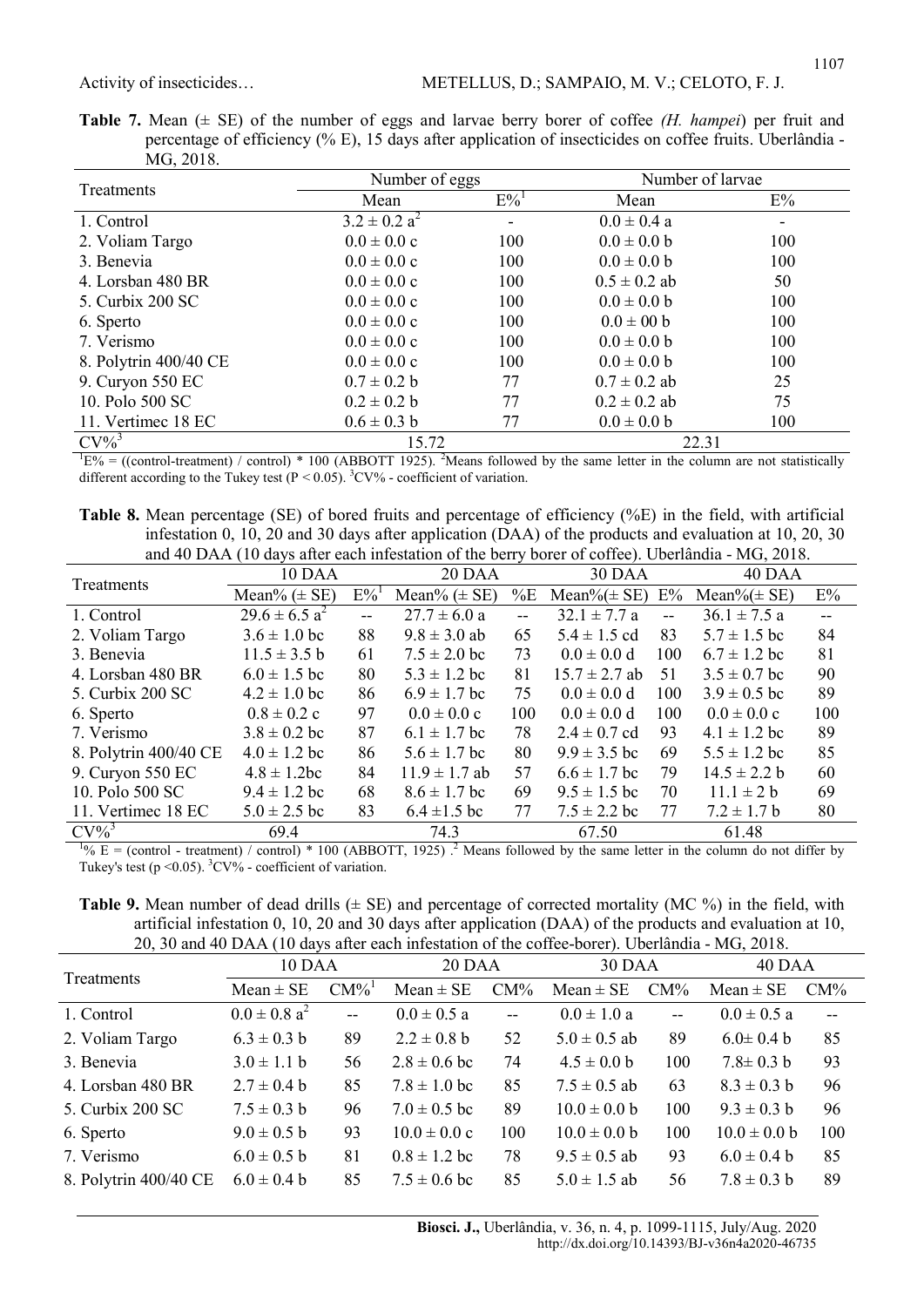|  | <b>Table 7.</b> Mean ( $\pm$ SE) of the number of eggs and larvae berry borer of coffee ( <i>H. hampei</i> ) per fruit and |
|--|----------------------------------------------------------------------------------------------------------------------------|
|  | percentage of efficiency ( $\%$ E), 15 days after application of insecticides on coffee fruits. Uberlandia -               |
|  | MG, 2018.                                                                                                                  |

| Treatments            | Number of eggs          |                    | Number of larvae |     |  |  |
|-----------------------|-------------------------|--------------------|------------------|-----|--|--|
|                       | Mean                    | $E\%$ <sup>1</sup> | Mean             | E%  |  |  |
| 1. Control            | $3.2 \pm 0.2 a^2$       |                    | $0.0 \pm 0.4 a$  |     |  |  |
| 2. Voliam Targo       | $0.0 \pm 0.0 \text{ c}$ | 100                | $0.0 \pm 0.0 b$  | 100 |  |  |
| 3. Benevia            | $0.0 \pm 0.0 c$         | 100                | $0.0 \pm 0.0 b$  | 100 |  |  |
| 4. Lorsban 480 BR     | $0.0 \pm 0.0 \text{ c}$ | 100                | $0.5 \pm 0.2$ ab | 50  |  |  |
| 5. Curbix 200 SC      | $0.0 \pm 0.0 \text{ c}$ | 100                | $0.0 \pm 0.0 b$  | 100 |  |  |
| 6. Sperto             | $0.0 \pm 0.0 \text{ c}$ | 100                | $0.0 \pm 00$ b   | 100 |  |  |
| 7. Verismo            | $0.0 \pm 0.0 \text{ c}$ | 100                | $0.0 \pm 0.0 b$  | 100 |  |  |
| 8. Polytrin 400/40 CE | $0.0 \pm 0.0 \text{ c}$ | 100                | $0.0 \pm 0.0 b$  | 100 |  |  |
| 9. Curyon 550 EC      | $0.7 \pm 0.2 b$         | 77                 | $0.7 \pm 0.2$ ab | 25  |  |  |
| 10. Polo 500 SC       | $0.2 \pm 0.2 b$         | 77                 | $0.2 \pm 0.2$ ab | 75  |  |  |
| 11. Vertimec 18 EC    | $0.6 \pm 0.3$ b         | 77                 | $0.0 \pm 0.0 b$  | 100 |  |  |
| $CV\%$ <sup>3</sup>   | 15.72                   |                    | 22.31            |     |  |  |

 ${}^{1}E\%$  = ((control-treatment) / control) \* 100 (ABBOTT 1925). <sup>2</sup>Means followed by the same letter in the column are not statistically different according to the Tukey test  $(P < 0.05)$ . <sup>3</sup>CV% - coefficient of variation.

Table 8. Mean percentage (SE) of bored fruits and percentage of efficiency (%E) in the field, with artificial infestation 0, 10, 20 and 30 days after application (DAA) of the products and evaluation at 10, 20, 30 and 40 DAA (10 days after each infestation of the berry borer of coffee). Uberlândia - MG, 2018.

| Treatments            | 10 DAA             |                    | 20 DAA                  |     | 30 DAA            |       | 40 DAA                  |     |  |
|-----------------------|--------------------|--------------------|-------------------------|-----|-------------------|-------|-------------------------|-----|--|
|                       | Mean% $(\pm SE)$   | $E\%$ <sup>1</sup> | Mean% $(\pm SE)$        | %E  | Mean% $(\pm$ SE)  | $E\%$ | Mean% $(\pm$ SE)        | E%  |  |
| 1. Control            | $29.6 \pm 6.5 a^2$ | $-$                | $27.7 \pm 6.0$ a        |     | $32.1 \pm 7.7$ a  |       | $36.1 \pm 7.5$ a        |     |  |
| 2. Voliam Targo       | $3.6 \pm 1.0$ bc   | 88                 | $9.8 \pm 3.0$ ab        | 65  | $5.4 \pm 1.5$ cd  | 83    | $5.7 \pm 1.5$ bc        | 84  |  |
| 3. Benevia            | $11.5 \pm 3.5 b$   | 61                 | $7.5 \pm 2.0$ bc        | 73  | $0.0 \pm 0.0 d$   | 100   | $6.7 \pm 1.2$ bc        | 81  |  |
| 4. Lorsban 480 BR     | $6.0 \pm 1.5$ bc   | 80                 | $5.3 \pm 1.2$ bc        | 81  | $15.7 \pm 2.7$ ab | 51    | $3.5 \pm 0.7$ bc        | 90  |  |
| 5. Curbix 200 SC      | $4.2 \pm 1.0$ bc   | 86                 | $6.9 \pm 1.7$ bc        | 75  | $0.0 \pm 0.0 d$   | 100   | $3.9 \pm 0.5$ bc        | 89  |  |
| 6. Sperto             | $0.8 \pm 0.2$ c    | 97                 | $0.0 \pm 0.0 \text{ c}$ | 100 | $0.0 \pm 0.0 d$   | 100   | $0.0 \pm 0.0 \text{ c}$ | 100 |  |
| 7. Verismo            | $3.8 \pm 0.2$ bc   | 87                 | $6.1 \pm 1.7$ bc        | 78  | $2.4 \pm 0.7$ cd  | 93    | $4.1 \pm 1.2$ bc        | 89  |  |
| 8. Polytrin 400/40 CE | $4.0 \pm 1.2$ bc   | 86                 | $5.6 \pm 1.7$ bc        | 80  | $9.9 \pm 3.5$ bc  | 69    | $5.5 \pm 1.2$ bc        | 85  |  |
| 9. Curyon 550 EC      | $4.8 \pm 1.2$ bc   | 84                 | $11.9 \pm 1.7$ ab       | 57  | $6.6 \pm 1.7$ bc  | 79    | $14.5 \pm 2.2 b$        | 60  |  |
| 10. Polo 500 SC       | $9.4 \pm 1.2$ bc   | 68                 | $8.6 \pm 1.7$ bc        | 69  | $9.5 \pm 1.5$ bc  | 70    | $11.1 \pm 2 b$          | 69  |  |
| 11. Vertimec 18 EC    | $5.0 \pm 2.5$ bc   | 83                 | $6.4 \pm 1.5$ bc        | 77  | $7.5 \pm 2.2$ bc  | 77    | $7.2 \pm 1.7$ b         | 80  |  |
| $CV\%$                | 69.4               |                    | 74.3                    |     | 67.50             |       | 61.48                   |     |  |

 $^{10}$ % E = (control - treatment) / control) \* 100 (ABBOTT, 1925).<sup>2</sup> Means followed by the same letter in the column do not differ by Tukey's test ( $p \le 0.05$ ). <sup>3</sup>CV% - coefficient of variation.

**Table 9.** Mean number of dead drills  $(\pm \text{ SE})$  and percentage of corrected mortality (MC %) in the field, with artificial infestation 0, 10, 20 and 30 days after application (DAA) of the products and evaluation at 10, 20, 30 and 40 DAA (10 days after each infestation of the coffee-borer). Uberlândia - MG, 2018.

| Treatments            | 10 DAA            |                     | 20 DAA                   |                           | <b>30 DAA</b>    |              | 40 DAA           |                          |  |
|-----------------------|-------------------|---------------------|--------------------------|---------------------------|------------------|--------------|------------------|--------------------------|--|
|                       | $Mean \pm SE$     | $CM\%$ <sup>1</sup> | $Mean \pm SE$            | $CM\%$                    | $Mean \pm SE$    | $CM\%$       | Mean $\pm$ SE    | $CM\%$                   |  |
| 1. Control            | $0.0 \pm 0.8 a^2$ | $\overline{a}$      | $0.0 \pm 0.5 a$          | $\mathbb{L}^{\mathbb{L}}$ | $0.0 \pm 1.0 a$  | $\mathbf{u}$ | $0.0 \pm 0.5$ a  | $\overline{\phantom{a}}$ |  |
| 2. Voliam Targo       | $6.3 \pm 0.3$ b   | 89                  | $2.2 \pm 0.8$ b          | 52                        | $5.0 \pm 0.5$ ab | 89           | $6.0 \pm 0.4 b$  | 85                       |  |
| 3. Benevia            | $3.0 \pm 1.1 b$   | 56                  | $2.8 \pm 0.6$ bc         | 74                        | $4.5 \pm 0.0 b$  | 100          | $7.8 \pm 0.3$ b  | 93                       |  |
| 4. Lorsban 480 BR     | $2.7 \pm 0.4$ b   | 85                  | $7.8 \pm 1.0$ bc         | 85                        | $7.5 \pm 0.5$ ab | 63           | $8.3 \pm 0.3$ b  | 96                       |  |
| 5. Curbix 200 SC      | $7.5 \pm 0.3$ b   | 96                  | $7.0 \pm 0.5$ bc         | 89                        | $10.0 \pm 0.0 b$ | 100          | $9.3 \pm 0.3$ b  | 96                       |  |
| 6. Sperto             | $9.0 \pm 0.5$ b   | 93                  | $10.0 \pm 0.0 \text{ c}$ | 100                       | $10.0 \pm 0.0 b$ | 100          | $10.0 \pm 0.0 b$ | 100                      |  |
| 7. Verismo            | $6.0 \pm 0.5 b$   | 81                  | $0.8 \pm 1.2$ bc         | 78                        | $9.5 \pm 0.5$ ab | 93           | $6.0 \pm 0.4 b$  | 85                       |  |
| 8. Polytrin 400/40 CE | $6.0 \pm 0.4 b$   | 85                  | $7.5 \pm 0.6$ bc         | 85                        | $5.0 \pm 1.5$ ab | 56           | $7.8 \pm 0.3$ b  | 89                       |  |
|                       |                   |                     |                          |                           |                  |              |                  |                          |  |

Biosci. J., Uberlândia, v. 36, n. 4, p. 1099-1115, July/Aug. 2020 http://dx.doi.org/10.14393/BJ-v36n4a2020-46735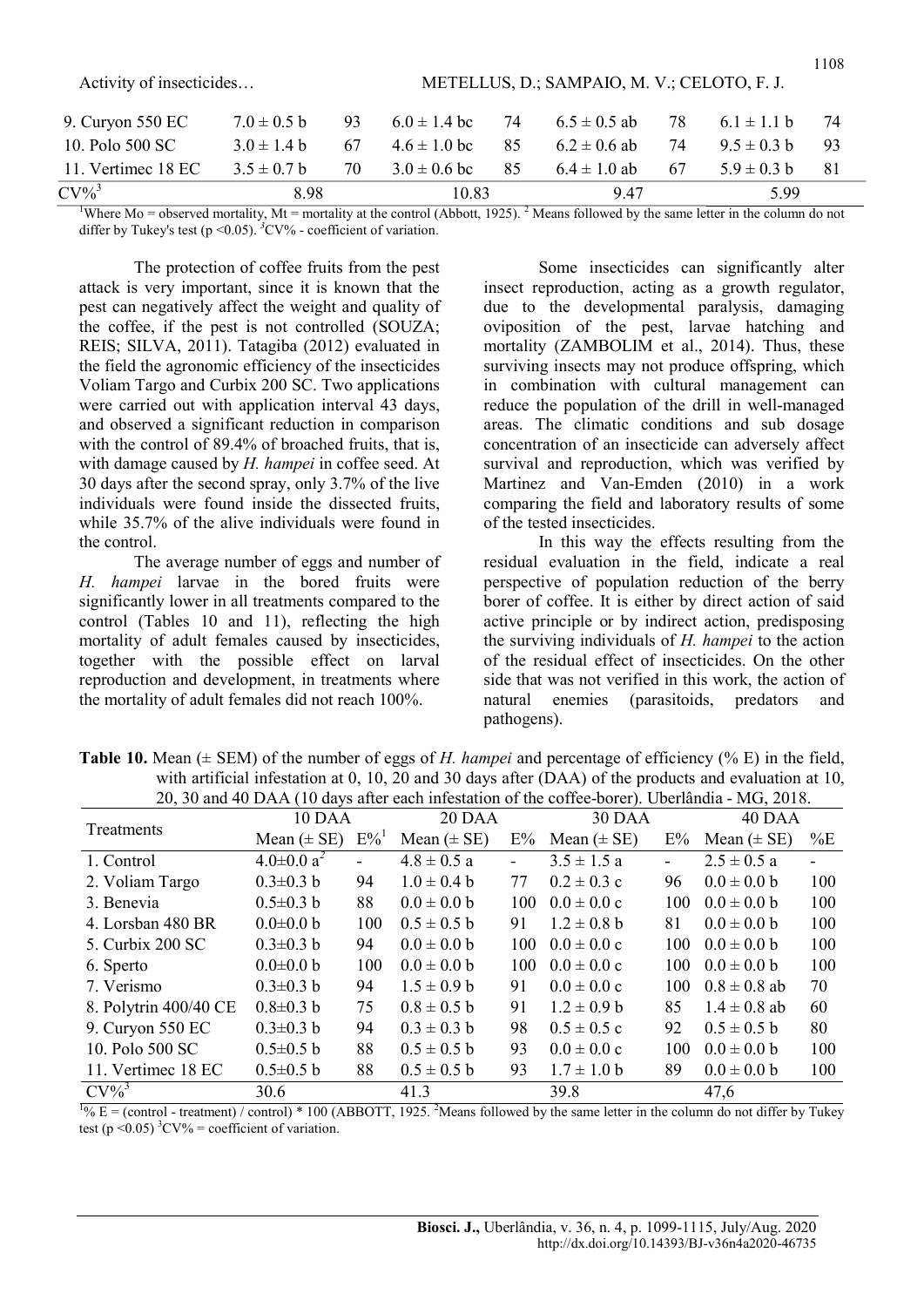| Activity of insecticides    |                 | METELLUS, D.; SAMPAIO, M. V.; CELOTO, F. J. |                  |    |                  |    |                 |    |  |
|-----------------------------|-----------------|---------------------------------------------|------------------|----|------------------|----|-----------------|----|--|
| 9. Curyon 550 EC            | $7.0 \pm 0.5$ b | 93                                          | $6.0 \pm 1.4$ bc | 74 | $6.5 \pm 0.5$ ab | 78 | $6.1 \pm 1.1$ b | 74 |  |
| 10. Polo 500 SC             | $3.0 \pm 1.4 b$ | 67                                          | $4.6 \pm 1.0$ bc | 85 | $6.2 \pm 0.6$ ab | 74 | $9.5 \pm 0.3$ b | 93 |  |
| 11. Vertimec 18 EC          | $3.5 \pm 0.7$ b | 70                                          | $3.0 \pm 0.6$ bc | 85 | $6.4 \pm 1.0$ ab | 67 | $5.9 \pm 0.3$ b | 81 |  |
| $CV\%$ <sup>3</sup><br>8.98 |                 |                                             | 10.83            |    | 9.47             |    | 5.99            |    |  |

<sup>1</sup>Where Mo = observed mortality, Mt = mortality at the control (Abbott, 1925).<sup>2</sup> Means followed by the same letter in the column do not differ by Tukey's test ( $p \le 0.05$ ). <sup>3</sup>CV% - coefficient of variation.

The protection of coffee fruits from the pest attack is very important, since it is known that the pest can negatively affect the weight and quality of the coffee, if the pest is not controlled (SOUZA; REIS; SILVA, 2011). Tatagiba (2012) evaluated in the field the agronomic efficiency of the insecticides Voliam Targo and Curbix 200 SC. Two applications were carried out with application interval 43 days, and observed a significant reduction in comparison with the control of 89.4% of broached fruits, that is, with damage caused by H. hampei in coffee seed. At 30 days after the second spray, only 3.7% of the live individuals were found inside the dissected fruits, while 35.7% of the alive individuals were found in the control.

The average number of eggs and number of H. hampei larvae in the bored fruits were significantly lower in all treatments compared to the control (Tables 10 and 11), reflecting the high mortality of adult females caused by insecticides, together with the possible effect on larval reproduction and development, in treatments where the mortality of adult females did not reach 100%.

Some insecticides can significantly alter insect reproduction, acting as a growth regulator, due to the developmental paralysis, damaging oviposition of the pest, larvae hatching and mortality (ZAMBOLIM et al., 2014). Thus, these surviving insects may not produce offspring, which in combination with cultural management can reduce the population of the drill in well-managed areas. The climatic conditions and sub dosage concentration of an insecticide can adversely affect survival and reproduction, which was verified by Martinez and Van-Emden (2010) in a work comparing the field and laboratory results of some of the tested insecticides.

1108

In this way the effects resulting from the residual evaluation in the field, indicate a real perspective of population reduction of the berry borer of coffee. It is either by direct action of said active principle or by indirect action, predisposing the surviving individuals of H. hampei to the action of the residual effect of insecticides. On the other side that was not verified in this work, the action of natural enemies (parasitoids, predators and pathogens).

| 20, 50 and 40 DAA (TO days after each intestation of the corree-borer). Obertandia - MG, 2018. |                              |                    |                 |     |                         |     |                  |       |  |  |
|------------------------------------------------------------------------------------------------|------------------------------|--------------------|-----------------|-----|-------------------------|-----|------------------|-------|--|--|
| Treatments                                                                                     | 10 DAA                       |                    | 20 DAA          |     | 30 DAA                  |     | 40 DAA           |       |  |  |
|                                                                                                | Mean $(\pm SE)$              | $E\%$ <sup>1</sup> | Mean $(\pm SE)$ | E%  | Mean $(\pm SE)$         | E%  | Mean $(\pm SE)$  | $\%E$ |  |  |
| 1. Control                                                                                     | $4.0 \pm 0.0$ a <sup>2</sup> |                    | $4.8 \pm 0.5$ a |     | $3.5 \pm 1.5 a$         |     | $2.5 \pm 0.5$ a  |       |  |  |
| 2. Voliam Targo                                                                                | $0.3 \pm 0.3$ b              | 94                 | $1.0 \pm 0.4 b$ | 77  | $0.2 \pm 0.3$ c         | 96  | $0.0 \pm 0.0 b$  | 100   |  |  |
| 3. Benevia                                                                                     | $0.5 \pm 0.3$ b              | 88                 | $0.0 \pm 0.0 b$ | 100 | $0.0 \pm 0.0 \text{ c}$ | 100 | $0.0 \pm 0.0 b$  | 100   |  |  |
| 4. Lorsban 480 BR                                                                              | $0.0 \pm 0.0 b$              | 100                | $0.5 \pm 0.5$ b | 91  | $1.2 \pm 0.8$ b         | 81  | $0.0 \pm 0.0 b$  | 100   |  |  |
| 5. Curbix 200 SC                                                                               | $0.3 \pm 0.3$ b              | 94                 | $0.0 \pm 0.0 b$ | 100 | $0.0 \pm 0.0 \text{ c}$ | 100 | $0.0 \pm 0.0 b$  | 100   |  |  |
| 6. Sperto                                                                                      | $0.0 \pm 0.0$ b              | 100                | $0.0 \pm 0.0 b$ | 100 | $0.0 \pm 0.0 \text{ c}$ | 100 | $0.0 \pm 0.0 b$  | 100   |  |  |
| 7. Verismo                                                                                     | $0.3 \pm 0.3$ b              | 94                 | $1.5 \pm 0.9 b$ | 91  | $0.0 \pm 0.0 \text{ c}$ | 100 | $0.8 \pm 0.8$ ab | 70    |  |  |
| 8. Polytrin 400/40 CE                                                                          | $0.8 \pm 0.3$ b              | 75                 | $0.8 \pm 0.5$ b | 91  | $1.2 \pm 0.9$ b         | 85  | $1.4 \pm 0.8$ ab | 60    |  |  |
| 9. Curyon 550 EC                                                                               | $0.3 \pm 0.3$ b              | 94                 | $0.3 \pm 0.3 b$ | 98  | $0.5 \pm 0.5$ c         | 92  | $0.5 \pm 0.5$ b  | 80    |  |  |
| 10. Polo 500 SC                                                                                | $0.5 \pm 0.5$ b              | 88                 | $0.5 \pm 0.5$ b | 93  | $0.0 \pm 0.0 \text{ c}$ | 100 | $0.0 \pm 0.0 b$  | 100   |  |  |
| 11. Vertimec 18 EC                                                                             | $0.5 \pm 0.5$ b              | 88                 | $0.5 \pm 0.5$ b | 93  | $1.7 \pm 1.0 b$         | 89  | $0.0 \pm 0.0 b$  | 100   |  |  |
| $CV\%$ <sup>3</sup>                                                                            | 30.6                         |                    | 41.3            |     | 39.8                    |     | 47,6             |       |  |  |

**Table 10.** Mean ( $\pm$  SEM) of the number of eggs of H. hampei and percentage of efficiency (% E) in the field, with artificial infestation at 0, 10, 20 and 30 days after (DAA) of the products and evaluation at 10, 20, 30 and 40 DAA (10 days after each infestation of the coffee-borer). Uberlândia - MG, 2018.

 $1\% E =$  (control - treatment) / control) \* 100 (ABBOTT, 1925. <sup>2</sup>Means followed by the same letter in the column do not differ by Tukey test (p < 0.05)  ${}^{3}$ CV% = coefficient of variation.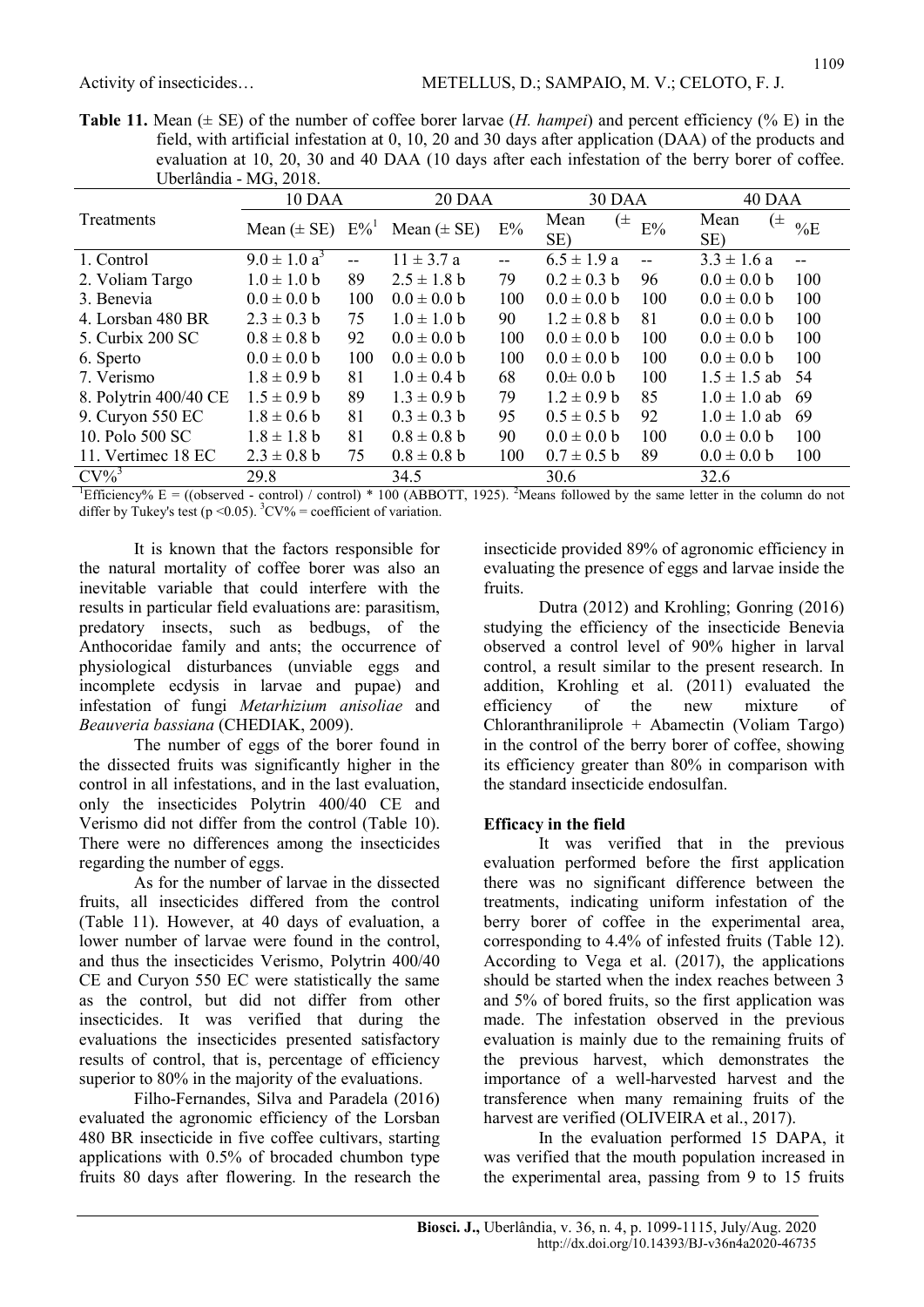**Table 11.** Mean ( $\pm$  SE) of the number of coffee borer larvae (*H. hampei*) and percent efficiency (% E) in the field, with artificial infestation at 0, 10, 20 and 30 days after application (DAA) of the products and evaluation at 10, 20, 30 and 40 DAA (10 days after each infestation of the berry borer of coffee. Uberlândia - MG, 2018.

|                       | 10 DAA                             |       | 20 DAA          |       | 30 DAA          |          | 40 DAA                 |     |  |
|-----------------------|------------------------------------|-------|-----------------|-------|-----------------|----------|------------------------|-----|--|
| Treatments            | Mean $(\pm$ SE) $E\%$ <sup>1</sup> |       | Mean $(\pm SE)$ | $E\%$ | Mean<br>SE)     | (±<br>E% | Mean<br>$(\pm)$<br>SE) | %E  |  |
| 1. Control            | $9.0 \pm 1.0 a^3$                  | $- -$ | $11 \pm 3.7 a$  | $-$   | $6.5 \pm 1.9 a$ |          | $3.3 \pm 1.6 a$        |     |  |
| 2. Voliam Targo       | $1.0 \pm 1.0 b$                    | 89    | $2.5 \pm 1.8$ b | 79    | $0.2 \pm 0.3$ b | 96       | $0.0 \pm 0.0 b$        | 100 |  |
| 3. Benevia            | $0.0 \pm 0.0 b$                    | 100   | $0.0 \pm 0.0 b$ | 100   | $0.0 \pm 0.0 b$ | 100      | $0.0 \pm 0.0 b$        | 100 |  |
| 4. Lorsban 480 BR     | $2.3 \pm 0.3$ b                    | 75    | $1.0 \pm 1.0 b$ | 90    | $1.2 \pm 0.8$ b | 81       | $0.0 \pm 0.0 b$        | 100 |  |
| 5. Curbix 200 SC      | $0.8 \pm 0.8$ b                    | 92    | $0.0 \pm 0.0 b$ | 100   | $0.0 \pm 0.0 b$ | 100      | $0.0 \pm 0.0 b$        | 100 |  |
| 6. Sperto             | $0.0 \pm 0.0 b$                    | 100   | $0.0 \pm 0.0 b$ | 100   | $0.0 \pm 0.0 b$ | 100      | $0.0 \pm 0.0 b$        | 100 |  |
| 7. Verismo            | $1.8 \pm 0.9$ b                    | 81    | $1.0 \pm 0.4 b$ | 68    | $0.0 \pm 0.0 b$ | 100      | $1.5 \pm 1.5$ ab       | -54 |  |
| 8. Polytrin 400/40 CE | $1.5 \pm 0.9 b$                    | 89    | $1.3 \pm 0.9 b$ | 79    | $1.2 \pm 0.9 b$ | 85       | $1.0 \pm 1.0$ ab       | -69 |  |
| 9. Curyon 550 EC      | $1.8 \pm 0.6$ b                    | 81    | $0.3 \pm 0.3 b$ | 95    | $0.5 \pm 0.5$ b | 92       | $1.0 \pm 1.0$ ab       | -69 |  |
| 10. Polo 500 SC       | $1.8 \pm 1.8$ b                    | 81    | $0.8 \pm 0.8$ b | 90    | $0.0 \pm 0.0 b$ | 100      | $0.0 \pm 0.0 b$        | 100 |  |
| 11. Vertimec 18 EC    | $2.3 \pm 0.8$ b                    | 75    | $0.8 \pm 0.8$ b | 100   | $0.7 \pm 0.5$ b | 89       | $0.0 \pm 0.0 b$        | 100 |  |
| $CV\%$ <sup>3</sup>   | 29.8                               |       | 34.5            |       | 30.6            |          | 32.6                   |     |  |

<sup>1</sup>Efficiency% E = ((observed - control) / control) \* 100 (ABBOTT, 1925). <sup>2</sup>Means followed by the same letter in the column do not differ by Tukey's test (p < 0.05).  ${}^{3}$ CV% = coefficient of variation.

It is known that the factors responsible for the natural mortality of coffee borer was also an inevitable variable that could interfere with the results in particular field evaluations are: parasitism, predatory insects, such as bedbugs, of the Anthocoridae family and ants; the occurrence of physiological disturbances (unviable eggs and incomplete ecdysis in larvae and pupae) and infestation of fungi Metarhizium anisoliae and Beauveria bassiana (CHEDIAK, 2009).

The number of eggs of the borer found in the dissected fruits was significantly higher in the control in all infestations, and in the last evaluation, only the insecticides Polytrin 400/40 CE and Verismo did not differ from the control (Table 10). There were no differences among the insecticides regarding the number of eggs.

As for the number of larvae in the dissected fruits, all insecticides differed from the control (Table 11). However, at 40 days of evaluation, a lower number of larvae were found in the control, and thus the insecticides Verismo, Polytrin 400/40 CE and Curyon 550 EC were statistically the same as the control, but did not differ from other insecticides. It was verified that during the evaluations the insecticides presented satisfactory results of control, that is, percentage of efficiency superior to 80% in the majority of the evaluations.

Filho-Fernandes, Silva and Paradela (2016) evaluated the agronomic efficiency of the Lorsban 480 BR insecticide in five coffee cultivars, starting applications with 0.5% of brocaded chumbon type fruits 80 days after flowering. In the research the insecticide provided 89% of agronomic efficiency in evaluating the presence of eggs and larvae inside the fruits.

Dutra (2012) and Krohling; Gonring (2016) studying the efficiency of the insecticide Benevia observed a control level of 90% higher in larval control, a result similar to the present research. In addition, Krohling et al. (2011) evaluated the efficiency of the new mixture of Chloranthraniliprole + Abamectin (Voliam Targo) in the control of the berry borer of coffee, showing its efficiency greater than 80% in comparison with the standard insecticide endosulfan.

## Efficacy in the field

It was verified that in the previous evaluation performed before the first application there was no significant difference between the treatments, indicating uniform infestation of the berry borer of coffee in the experimental area, corresponding to 4.4% of infested fruits (Table 12). According to Vega et al. (2017), the applications should be started when the index reaches between 3 and 5% of bored fruits, so the first application was made. The infestation observed in the previous evaluation is mainly due to the remaining fruits of the previous harvest, which demonstrates the importance of a well-harvested harvest and the transference when many remaining fruits of the harvest are verified (OLIVEIRA et al., 2017).

In the evaluation performed 15 DAPA, it was verified that the mouth population increased in the experimental area, passing from 9 to 15 fruits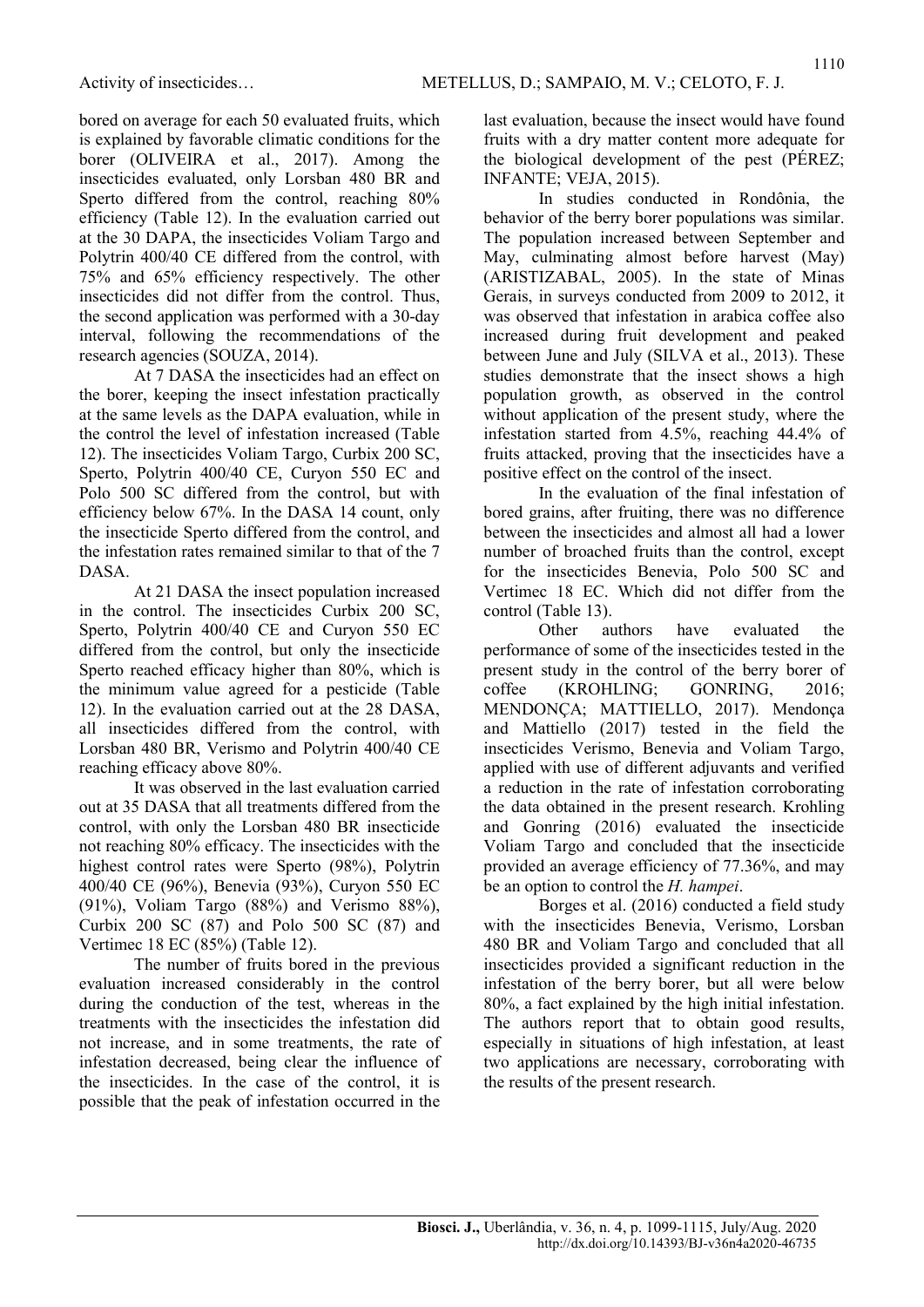bored on average for each 50 evaluated fruits, which is explained by favorable climatic conditions for the borer (OLIVEIRA et al., 2017). Among the insecticides evaluated, only Lorsban 480 BR and Sperto differed from the control, reaching 80% efficiency (Table 12). In the evaluation carried out at the 30 DAPA, the insecticides Voliam Targo and Polytrin 400/40 CE differed from the control, with 75% and 65% efficiency respectively. The other insecticides did not differ from the control. Thus, the second application was performed with a 30-day interval, following the recommendations of the research agencies (SOUZA, 2014).

At 7 DASA the insecticides had an effect on the borer, keeping the insect infestation practically at the same levels as the DAPA evaluation, while in the control the level of infestation increased (Table 12). The insecticides Voliam Targo, Curbix 200 SC, Sperto, Polytrin 400/40 CE, Curyon 550 EC and Polo 500 SC differed from the control, but with efficiency below 67%. In the DASA 14 count, only the insecticide Sperto differed from the control, and the infestation rates remained similar to that of the 7 DASA.

At 21 DASA the insect population increased in the control. The insecticides Curbix 200 SC, Sperto, Polytrin 400/40 CE and Curyon 550 EC differed from the control, but only the insecticide Sperto reached efficacy higher than 80%, which is the minimum value agreed for a pesticide (Table 12). In the evaluation carried out at the 28 DASA, all insecticides differed from the control, with Lorsban 480 BR, Verismo and Polytrin 400/40 CE reaching efficacy above 80%.

It was observed in the last evaluation carried out at 35 DASA that all treatments differed from the control, with only the Lorsban 480 BR insecticide not reaching 80% efficacy. The insecticides with the highest control rates were Sperto (98%), Polytrin 400/40 CE (96%), Benevia (93%), Curyon 550 EC (91%), Voliam Targo (88%) and Verismo 88%), Curbix 200 SC (87) and Polo 500 SC (87) and Vertimec 18 EC (85%) (Table 12).

The number of fruits bored in the previous evaluation increased considerably in the control during the conduction of the test, whereas in the treatments with the insecticides the infestation did not increase, and in some treatments, the rate of infestation decreased, being clear the influence of the insecticides. In the case of the control, it is possible that the peak of infestation occurred in the last evaluation, because the insect would have found fruits with a dry matter content more adequate for the biological development of the pest (PÉREZ; INFANTE; VEJA, 2015).

In studies conducted in Rondônia, the behavior of the berry borer populations was similar. The population increased between September and May, culminating almost before harvest (May) (ARISTIZABAL, 2005). In the state of Minas Gerais, in surveys conducted from 2009 to 2012, it was observed that infestation in arabica coffee also increased during fruit development and peaked between June and July (SILVA et al., 2013). These studies demonstrate that the insect shows a high population growth, as observed in the control without application of the present study, where the infestation started from 4.5%, reaching 44.4% of fruits attacked, proving that the insecticides have a positive effect on the control of the insect.

In the evaluation of the final infestation of bored grains, after fruiting, there was no difference between the insecticides and almost all had a lower number of broached fruits than the control, except for the insecticides Benevia, Polo 500 SC and Vertimec 18 EC. Which did not differ from the control (Table 13).

Other authors have evaluated the performance of some of the insecticides tested in the present study in the control of the berry borer of coffee (KROHLING; GONRING, 2016; MENDONÇA; MATTIELLO, 2017). Mendonça and Mattiello (2017) tested in the field the insecticides Verismo, Benevia and Voliam Targo, applied with use of different adjuvants and verified a reduction in the rate of infestation corroborating the data obtained in the present research. Krohling and Gonring (2016) evaluated the insecticide Voliam Targo and concluded that the insecticide provided an average efficiency of 77.36%, and may be an option to control the H. hampei.

Borges et al. (2016) conducted a field study with the insecticides Benevia, Verismo, Lorsban 480 BR and Voliam Targo and concluded that all insecticides provided a significant reduction in the infestation of the berry borer, but all were below 80%, a fact explained by the high initial infestation. The authors report that to obtain good results, especially in situations of high infestation, at least two applications are necessary, corroborating with the results of the present research.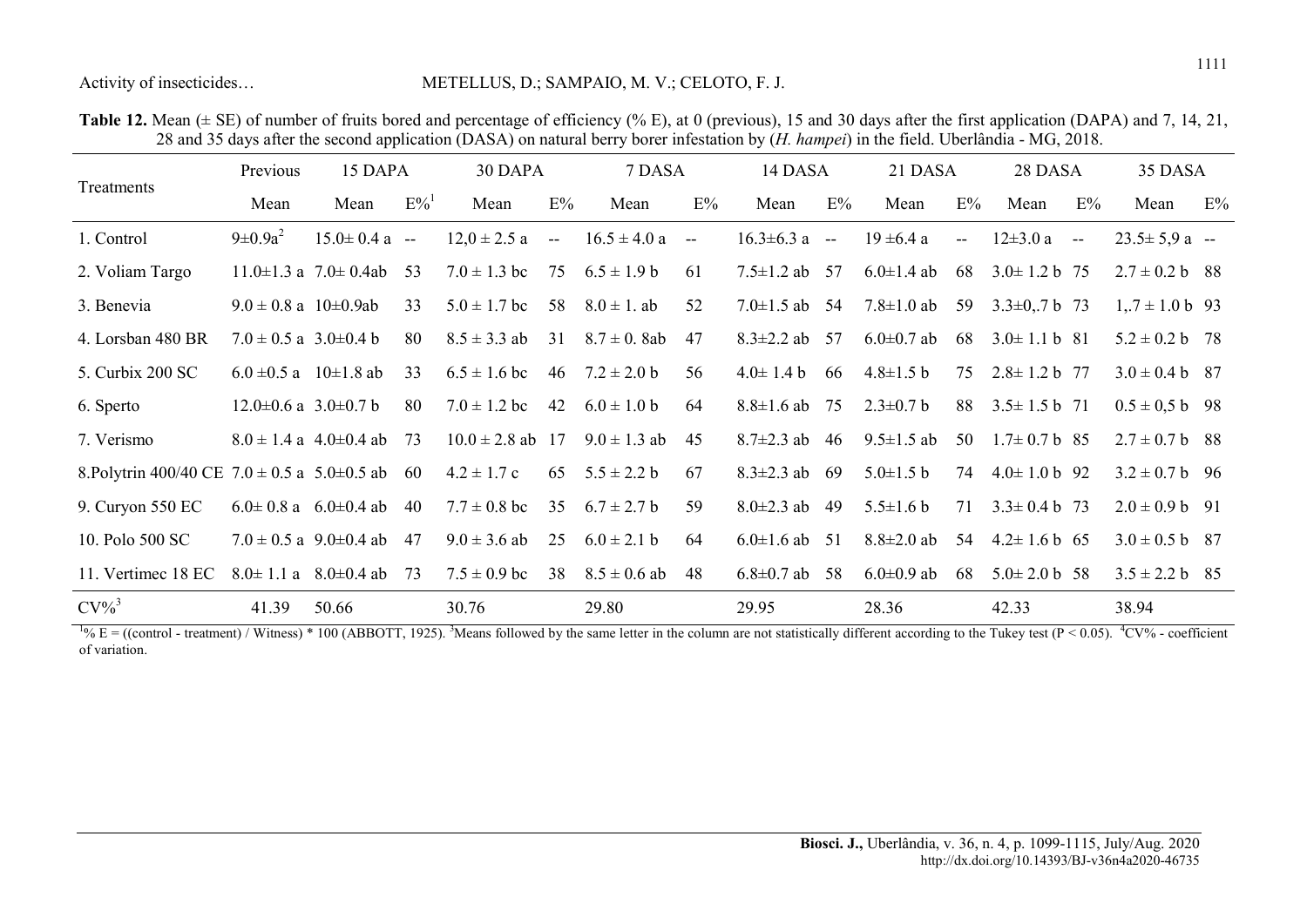#### Activity of insecticides… METELLUS, D.; SAMPAIO, M. V.; CELOTO, F. J.

|                                                        | Previous                        | 15 DAPA                           |                    | 30 DAPA              |        | 7 DASA             |            | 14 DASA             |      | 21 DASA          |                          | 28 DASA                    |               | 35 DASA             |       |
|--------------------------------------------------------|---------------------------------|-----------------------------------|--------------------|----------------------|--------|--------------------|------------|---------------------|------|------------------|--------------------------|----------------------------|---------------|---------------------|-------|
| Treatments                                             | Mean                            | Mean                              | $E\%$ <sup>1</sup> | Mean                 | E%     | Mean               | E%         | Mean                | E%   | Mean             | $E\%$                    | Mean                       | E%            | Mean                | $E\%$ |
| 1. Control                                             | $9 \pm 0.9a^2$                  | $15.0 \pm 0.4$ a --               |                    | $12.0 \pm 2.5$ a     | $\sim$ | $16.5 \pm 4.0 a$   | $\sim$ $-$ | $16.3 \pm 6.3$ a -- |      | $19 \pm 6.4$ a   | $\overline{\phantom{a}}$ | $12\pm3.0 a$               | $\sim$ $\sim$ | $23.5 \pm 5.9$ a -- |       |
| 2. Voliam Targo                                        |                                 | $11.0 \pm 1.3$ a $7.0 \pm 0.4$ ab | -53                | $7.0 \pm 1.3$ bc     | 75     | $6.5 \pm 1.9 b$    | 61         | $7.5 \pm 1.2$ ab 57 |      | $6.0 \pm 1.4$ ab | 68                       | $3.0 \pm 1.2 b$ 75         |               | $2.7 \pm 0.2$ b 88  |       |
| 3. Benevia                                             | $9.0 \pm 0.8$ a $10\pm 0.9$ ab  |                                   | 33                 | $5.0 \pm 1.7$ bc     | 58     | $8.0 \pm 1.$ ab    | 52         | $7.0 \pm 1.5$ ab    | 54   | $7.8 \pm 1.0$ ab | 59                       | $3.3\pm0.7$ b 73           |               | $1,7 \pm 1.0$ b 93  |       |
| 4. Lorsban 480 BR                                      | $7.0 \pm 0.5$ a 3.0 $\pm$ 0.4 b |                                   | 80                 | $8.5 \pm 3.3$ ab     | 31     | $8.7 \pm 0.8$ ab   | 47         | $8.3 \pm 2.2$ ab 57 |      | $6.0 \pm 0.7$ ab | 68                       | $3.0 \pm 1.1$ b 81         |               | $5.2 \pm 0.2$ b 78  |       |
| 5. Curbix 200 SC                                       | 6.0 $\pm$ 0.5 a 10 $\pm$ 1.8 ab |                                   | 33                 | $6.5 \pm 1.6$ bc     |        | 46 $7.2 \pm 2.0$ b | 56         | $4.0 \pm 1.4 b$     | -66  | $4.8 \pm 1.5 b$  | 75                       | $2.8 \pm 1.2$ b 77         |               | $3.0 \pm 0.4$ b 87  |       |
| 6. Sperto                                              | $12.0\pm0.6$ a 3.0 $\pm0.7$ b   |                                   | 80                 | $7.0 \pm 1.2$ bc     | 42     | $6.0 \pm 1.0 b$    | 64         | $8.8 \pm 1.6$ ab    | 75   | $2.3 \pm 0.7$ b  | 88                       | $3.5 \pm 1.5 \text{ b}$ 71 |               | $0.5 \pm 0.5$ b 98  |       |
| 7. Verismo                                             |                                 | $8.0 \pm 1.4$ a 4.0±0.4 ab        | 73                 | $10.0 \pm 2.8$ ab 17 |        | $9.0 \pm 1.3$ ab   | 45         | $8.7 \pm 2.3$ ab    | 46   | $9.5 \pm 1.5$ ab | 50                       | $1.7\pm0.7$ b 85           |               | $2.7 \pm 0.7$ b 88  |       |
| 8. Polytrin 400/40 CE $7.0 \pm 0.5$ a $5.0 \pm 0.5$ ab |                                 |                                   | -60                | $4.2 \pm 1.7$ c      | 65     | $5.5 \pm 2.2 b$    | 67         | $8.3 \pm 2.3$ ab    | - 69 | $5.0 \pm 1.5 b$  | 74                       | $4.0 \pm 1.0 \text{ b}$ 92 |               | $3.2 \pm 0.7$ b 96  |       |
| 9. Curyon 550 EC                                       |                                 | $6.0 \pm 0.8$ a $6.0 \pm 0.4$ ab  | 40                 | $7.7 \pm 0.8$ bc     | 35     | $6.7 \pm 2.7$ b    | 59         | $8.0 \pm 2.3$ ab    | 49   | $5.5 \pm 1.6 b$  | 71                       | $3.3 \pm 0.4$ b 73         |               | $2.0 \pm 0.9$ b 91  |       |
| 10. Polo 500 SC                                        |                                 | $7.0 \pm 0.5$ a $9.0 \pm 0.4$ ab  | 47                 | $9.0 \pm 3.6$ ab     | 25     | $6.0 \pm 2.1 b$    | 64         | $6.0 \pm 1.6$ ab 51 |      | $8.8 \pm 2.0$ ab | 54                       | $4.2 \pm 1.6 b$ 65         |               | $3.0 \pm 0.5$ b 87  |       |
| 11. Vertimec 18 EC                                     |                                 | $8.0 \pm 1.1$ a $8.0 \pm 0.4$ ab  | 73                 | $7.5 \pm 0.9$ bc     | 38     | $8.5 \pm 0.6$ ab   | 48         | $6.8 \pm 0.7$ ab    | 58   | $6.0 \pm 0.9$ ab | 68                       | $5.0 \pm 2.0$ b 58         |               | $3.5 \pm 2.2 b$ 85  |       |
| $CV\%$ <sup>3</sup>                                    | 41.39                           | 50.66                             |                    | 30.76                |        | 29.80              |            | 29.95               |      | 28.36            |                          | 42.33                      |               | 38.94               |       |

Table 12. Mean  $(\pm$  SE) of number of fruits bored and percentage of efficiency (% E), at 0 (previous), 15 and 30 days after the first application (DAPA) and 7, 14, 21, 28 and 35 days after the second application (DASA) on natural berry borer infestation by (*H. hampei*) in the field. Uberlândia - MG, 2018.

 $\frac{1}{2}$ % E = ((control - treatment) / Witness) \* 100 (ABBOTT, 1925). 3Means followed by the same letter in the column are not statistically different according to the Tukey test (P < 0.05).  $\frac{4}{2}$ CV% - coefficient of variation.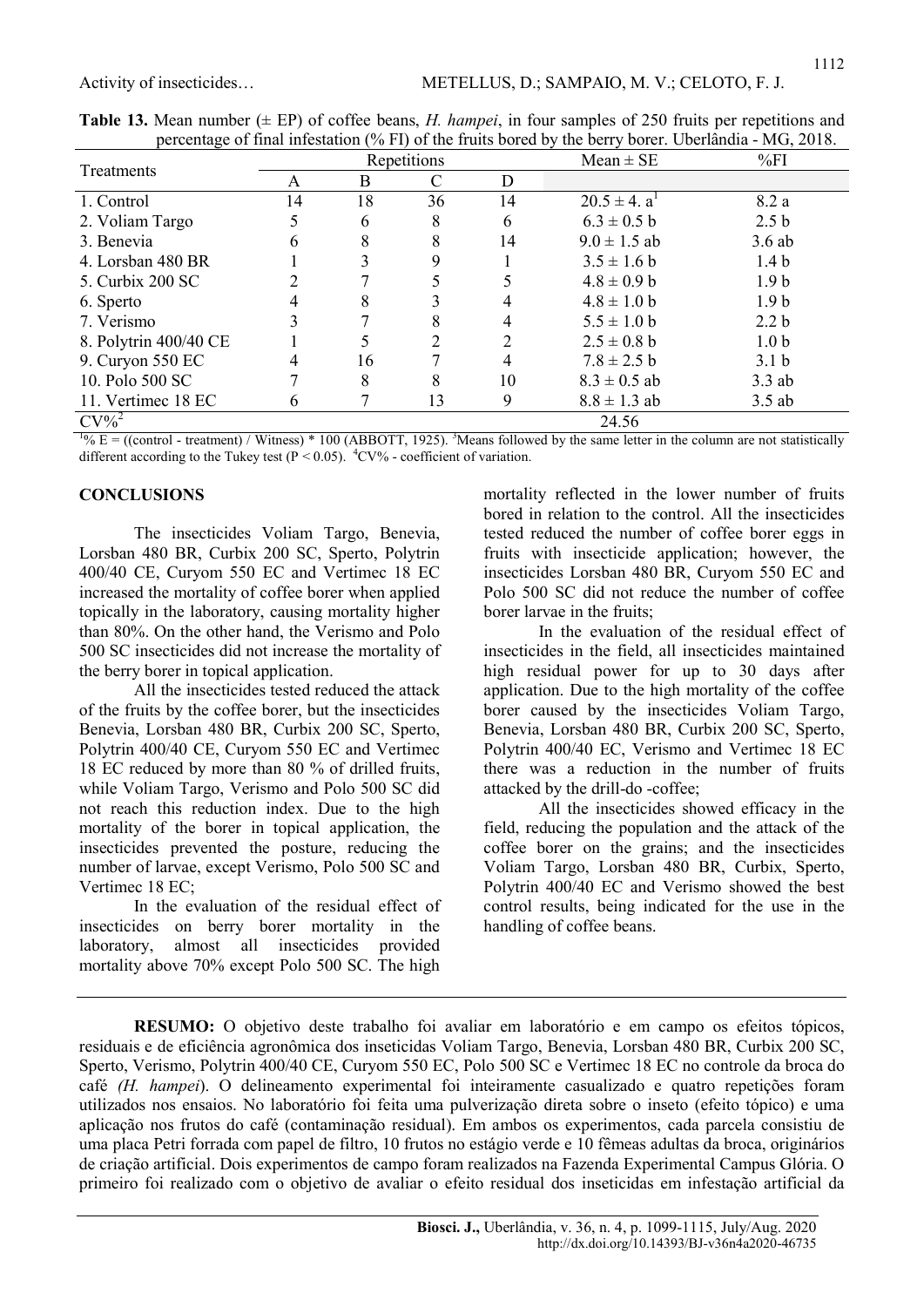| percentage of final information (70 km) of the francs corea by the bent $\gamma$ corea. Coeffainant $\gamma$ holds. |    |    |             |    |                     |                  |  |  |  |  |
|---------------------------------------------------------------------------------------------------------------------|----|----|-------------|----|---------------------|------------------|--|--|--|--|
| <b>Treatments</b>                                                                                                   |    |    | Repetitions |    | $Mean \pm SE$       | %FI              |  |  |  |  |
|                                                                                                                     | A  | Β  |             | D  |                     |                  |  |  |  |  |
| 1. Control                                                                                                          | 14 | 18 | 36          | 14 | $20.5 \pm 4. a^{1}$ | 8.2 a            |  |  |  |  |
| 2. Voliam Targo                                                                                                     |    | 6  | 8           | 6  | $6.3 \pm 0.5 b$     | 2.5 <sub>b</sub> |  |  |  |  |
| 3. Benevia                                                                                                          | h  | 8  |             | 14 | $9.0 \pm 1.5$ ab    | 3.6ab            |  |  |  |  |
| 4. Lorsban 480 BR                                                                                                   |    |    |             |    | $3.5 \pm 1.6 b$     | 1.4 <sub>b</sub> |  |  |  |  |
| 5. Curbix 200 SC                                                                                                    |    |    |             |    | $4.8 \pm 0.9$ b     | 1.9 <sub>b</sub> |  |  |  |  |
| 6. Sperto                                                                                                           |    | 8  |             |    | $4.8 \pm 1.0 b$     | 1.9 <sub>b</sub> |  |  |  |  |
| 7. Verismo                                                                                                          |    |    |             |    | $5.5 \pm 1.0 b$     | 2.2 <sub>b</sub> |  |  |  |  |
| 8. Polytrin 400/40 CE                                                                                               |    |    |             |    | $2.5 \pm 0.8$ b     | 1.0 <sub>b</sub> |  |  |  |  |
| 9. Curyon 550 EC                                                                                                    |    | 16 |             |    | $7.8 \pm 2.5$ b     | 3.1 <sub>b</sub> |  |  |  |  |
| 10. Polo 500 SC                                                                                                     |    | 8  | 8           | 10 | $8.3 \pm 0.5$ ab    | $3.3$ ab         |  |  |  |  |
| 11. Vertimec 18 EC                                                                                                  | h  |    | 13          | 9  | $8.8 \pm 1.3$ ab    | $3.5$ ab         |  |  |  |  |
| $CV\%^2$                                                                                                            |    |    |             |    | 24.56               |                  |  |  |  |  |

**Table 13.** Mean number  $(\pm EP)$  of coffee beans, *H. hampei*, in four samples of 250 fruits per repetitions and percentage of final infestation (% FI) of the fruits bored by the berry borer. Uberlândia - MG, 2018.

 $1\% E =$  ((control - treatment) / Witness) \* 100 (ABBOTT, 1925). 3Means followed by the same letter in the column are not statistically different according to the Tukey test ( $P \le 0.05$ ).  $^{4}CV\%$  - coefficient of variation.

#### **CONCLUSIONS**

The insecticides Voliam Targo, Benevia, Lorsban 480 BR, Curbix 200 SC, Sperto, Polytrin 400/40 CE, Curyom 550 EC and Vertimec 18 EC increased the mortality of coffee borer when applied topically in the laboratory, causing mortality higher than 80%. On the other hand, the Verismo and Polo 500 SC insecticides did not increase the mortality of the berry borer in topical application.

All the insecticides tested reduced the attack of the fruits by the coffee borer, but the insecticides Benevia, Lorsban 480 BR, Curbix 200 SC, Sperto, Polytrin 400/40 CE, Curyom 550 EC and Vertimec 18 EC reduced by more than 80 % of drilled fruits, while Voliam Targo, Verismo and Polo 500 SC did not reach this reduction index. Due to the high mortality of the borer in topical application, the insecticides prevented the posture, reducing the number of larvae, except Verismo, Polo 500 SC and Vertimec 18 EC;

In the evaluation of the residual effect of insecticides on berry borer mortality in the laboratory, almost all insecticides provided mortality above 70% except Polo 500 SC. The high mortality reflected in the lower number of fruits bored in relation to the control. All the insecticides tested reduced the number of coffee borer eggs in fruits with insecticide application; however, the insecticides Lorsban 480 BR, Curyom 550 EC and Polo 500 SC did not reduce the number of coffee borer larvae in the fruits;

In the evaluation of the residual effect of insecticides in the field, all insecticides maintained high residual power for up to 30 days after application. Due to the high mortality of the coffee borer caused by the insecticides Voliam Targo, Benevia, Lorsban 480 BR, Curbix 200 SC, Sperto, Polytrin 400/40 EC, Verismo and Vertimec 18 EC there was a reduction in the number of fruits attacked by the drill-do -coffee;

All the insecticides showed efficacy in the field, reducing the population and the attack of the coffee borer on the grains; and the insecticides Voliam Targo, Lorsban 480 BR, Curbix, Sperto, Polytrin 400/40 EC and Verismo showed the best control results, being indicated for the use in the handling of coffee beans.

RESUMO: O objetivo deste trabalho foi avaliar em laboratório e em campo os efeitos tópicos, residuais e de eficiência agronômica dos inseticidas Voliam Targo, Benevia, Lorsban 480 BR, Curbix 200 SC, Sperto, Verismo, Polytrin 400/40 CE, Curyom 550 EC, Polo 500 SC e Vertimec 18 EC no controle da broca do café (H. hampei). O delineamento experimental foi inteiramente casualizado e quatro repetições foram utilizados nos ensaios. No laboratório foi feita uma pulverização direta sobre o inseto (efeito tópico) e uma aplicação nos frutos do café (contaminação residual). Em ambos os experimentos, cada parcela consistiu de uma placa Petri forrada com papel de filtro, 10 frutos no estágio verde e 10 fêmeas adultas da broca, originários de criação artificial. Dois experimentos de campo foram realizados na Fazenda Experimental Campus Glória. O primeiro foi realizado com o objetivo de avaliar o efeito residual dos inseticidas em infestação artificial da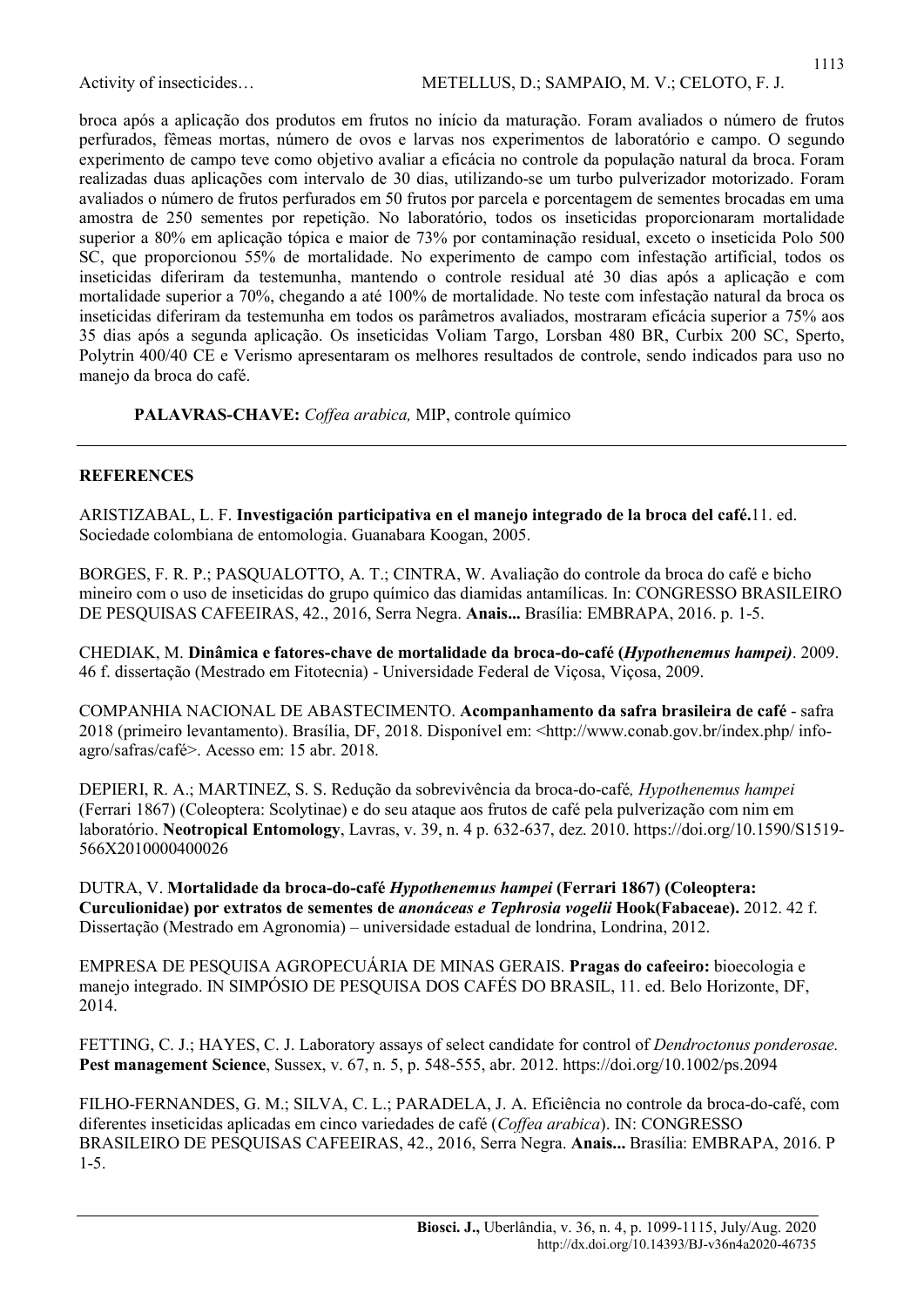broca após a aplicação dos produtos em frutos no início da maturação. Foram avaliados o número de frutos perfurados, fêmeas mortas, número de ovos e larvas nos experimentos de laboratório e campo. O segundo experimento de campo teve como objetivo avaliar a eficácia no controle da população natural da broca. Foram realizadas duas aplicações com intervalo de 30 dias, utilizando-se um turbo pulverizador motorizado. Foram avaliados o número de frutos perfurados em 50 frutos por parcela e porcentagem de sementes brocadas em uma amostra de 250 sementes por repetição. No laboratório, todos os inseticidas proporcionaram mortalidade superior a 80% em aplicação tópica e maior de 73% por contaminação residual, exceto o inseticida Polo 500 SC, que proporcionou 55% de mortalidade. No experimento de campo com infestação artificial, todos os inseticidas diferiram da testemunha, mantendo o controle residual até 30 dias após a aplicação e com mortalidade superior a 70%, chegando a até 100% de mortalidade. No teste com infestação natural da broca os inseticidas diferiram da testemunha em todos os parâmetros avaliados, mostraram eficácia superior a 75% aos 35 dias após a segunda aplicação. Os inseticidas Voliam Targo, Lorsban 480 BR, Curbix 200 SC, Sperto, Polytrin 400/40 CE e Verismo apresentaram os melhores resultados de controle, sendo indicados para uso no manejo da broca do café.

PALAVRAS-CHAVE: Coffea arabica, MIP, controle químico

#### **REFERENCES**

ARISTIZABAL, L. F. Investigación participativa en el manejo integrado de la broca del café.11. ed. Sociedade colombiana de entomologia. Guanabara Koogan, 2005.

BORGES, F. R. P.; PASQUALOTTO, A. T.; CINTRA, W. Avaliação do controle da broca do café e bicho mineiro com o uso de inseticidas do grupo químico das diamidas antamílicas. In: CONGRESSO BRASILEIRO DE PESQUISAS CAFEEIRAS, 42., 2016, Serra Negra. Anais... Brasília: EMBRAPA, 2016. p. 1-5.

CHEDIAK, M. Dinâmica e fatores-chave de mortalidade da broca-do-café (Hypothenemus hampei). 2009. 46 f. dissertação (Mestrado em Fitotecnia) - Universidade Federal de Viçosa, Viçosa, 2009.

COMPANHIA NACIONAL DE ABASTECIMENTO. Acompanhamento da safra brasileira de café - safra 2018 (primeiro levantamento). Brasília, DF, 2018. Disponível em: <http://www.conab.gov.br/index.php/ infoagro/safras/café>. Acesso em: 15 abr. 2018.

DEPIERI, R. A.; MARTINEZ, S. S. Redução da sobrevivência da broca-do-café, Hypothenemus hampei (Ferrari 1867) (Coleoptera: Scolytinae) e do seu ataque aos frutos de café pela pulverização com nim em laboratório. Neotropical Entomology, Lavras, v. 39, n. 4 p. 632-637, dez. 2010. https://doi.org/10.1590/S1519- 566X2010000400026

DUTRA, V. Mortalidade da broca-do-café Hypothenemus hampei (Ferrari 1867) (Coleoptera: Curculionidae) por extratos de sementes de anonáceas e Tephrosia vogelii Hook(Fabaceae). 2012. 42 f. Dissertação (Mestrado em Agronomia) – universidade estadual de londrina, Londrina, 2012.

EMPRESA DE PESQUISA AGROPECUÁRIA DE MINAS GERAIS. Pragas do cafeeiro: bioecologia e manejo integrado. IN SIMPÓSIO DE PESQUISA DOS CAFÉS DO BRASIL, 11. ed. Belo Horizonte, DF, 2014.

FETTING, C. J.; HAYES, C. J. Laboratory assays of select candidate for control of Dendroctonus ponderosae. Pest management Science, Sussex, v. 67, n. 5, p. 548-555, abr. 2012. https://doi.org/10.1002/ps.2094

FILHO-FERNANDES, G. M.; SILVA, C. L.; PARADELA, J. A. Eficiência no controle da broca-do-café, com diferentes inseticidas aplicadas em cinco variedades de café (Coffea arabica). IN: CONGRESSO BRASILEIRO DE PESQUISAS CAFEEIRAS, 42., 2016, Serra Negra. Anais... Brasília: EMBRAPA, 2016. P 1-5.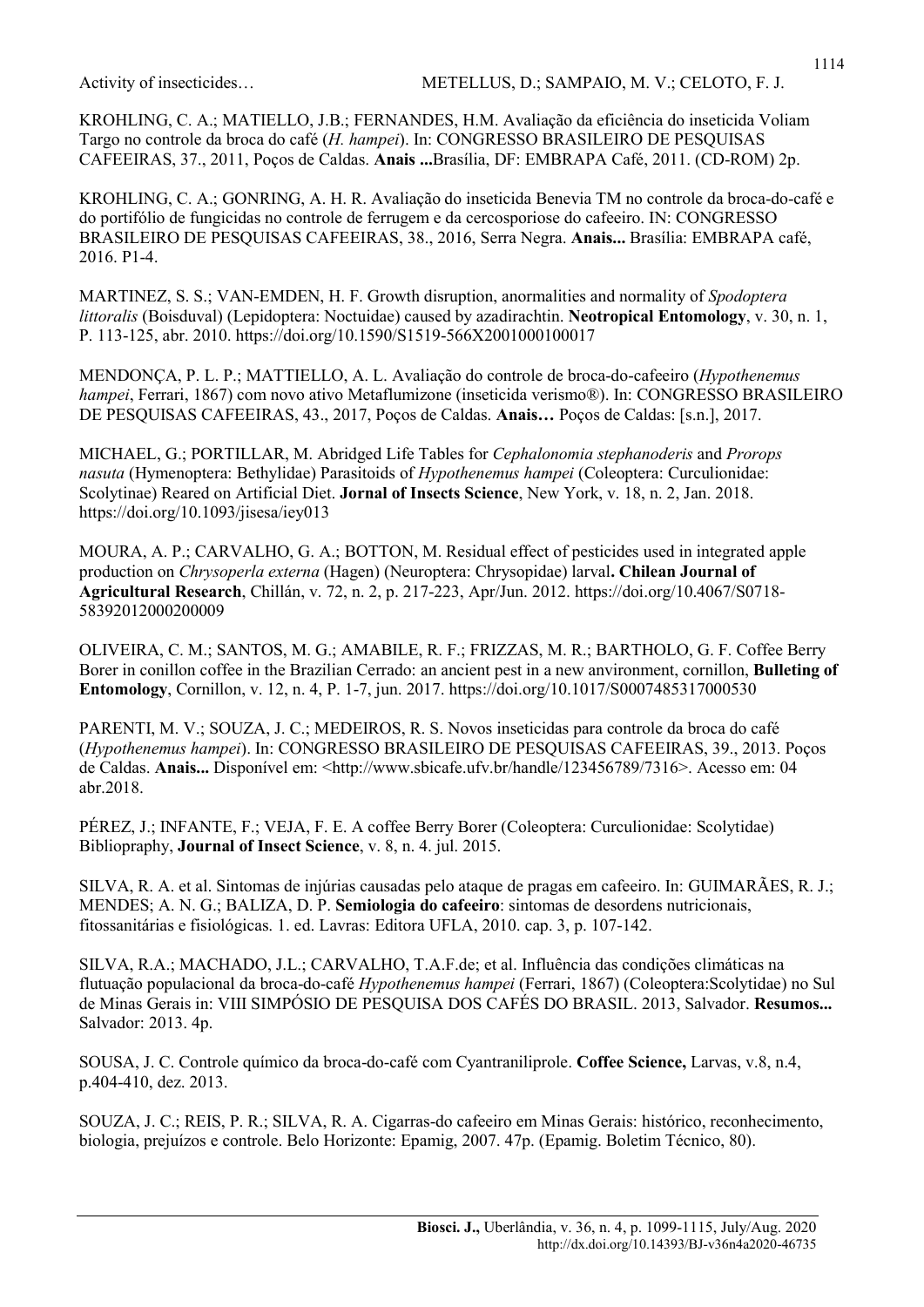KROHLING, C. A.; MATIELLO, J.B.; FERNANDES, H.M. Avaliação da eficiência do inseticida Voliam Targo no controle da broca do café (H. hampei). In: CONGRESSO BRASILEIRO DE PESQUISAS CAFEEIRAS, 37., 2011, Poços de Caldas. Anais ...Brasília, DF: EMBRAPA Café, 2011. (CD-ROM) 2p.

KROHLING, C. A.; GONRING, A. H. R. Avaliação do inseticida Benevia TM no controle da broca-do-café e do portifólio de fungicidas no controle de ferrugem e da cercosporiose do cafeeiro. IN: CONGRESSO BRASILEIRO DE PESQUISAS CAFEEIRAS, 38., 2016, Serra Negra. Anais... Brasília: EMBRAPA café, 2016. P1-4.

MARTINEZ, S. S.; VAN-EMDEN, H. F. Growth disruption, anormalities and normality of Spodoptera littoralis (Boisduval) (Lepidoptera: Noctuidae) caused by azadirachtin. Neotropical Entomology, v. 30, n. 1, P. 113-125, abr. 2010. https://doi.org/10.1590/S1519-566X2001000100017

MENDONÇA, P. L. P.; MATTIELLO, A. L. Avaliação do controle de broca-do-cafeeiro (Hypothenemus hampei, Ferrari, 1867) com novo ativo Metaflumizone (inseticida verismo®). In: CONGRESSO BRASILEIRO DE PESQUISAS CAFEEIRAS, 43., 2017, Poços de Caldas. Anais… Poços de Caldas: [s.n.], 2017.

MICHAEL, G.; PORTILLAR, M. Abridged Life Tables for Cephalonomia stephanoderis and Prorops nasuta (Hymenoptera: Bethylidae) Parasitoids of Hypothenemus hampei (Coleoptera: Curculionidae: Scolytinae) Reared on Artificial Diet. Jornal of Insects Science, New York, v. 18, n. 2, Jan. 2018. https://doi.org/10.1093/jisesa/iey013

MOURA, A. P.; CARVALHO, G. A.; BOTTON, M. Residual effect of pesticides used in integrated apple production on Chrysoperla externa (Hagen) (Neuroptera: Chrysopidae) larval. Chilean Journal of Agricultural Research, Chillán, v. 72, n. 2, p. 217-223, Apr/Jun. 2012. https://doi.org/10.4067/S0718- 58392012000200009

OLIVEIRA, C. M.; SANTOS, M. G.; AMABILE, R. F.; FRIZZAS, M. R.; BARTHOLO, G. F. Coffee Berry Borer in conillon coffee in the Brazilian Cerrado: an ancient pest in a new anvironment, cornillon, Bulleting of Entomology, Cornillon, v. 12, n. 4, P. 1-7, jun. 2017. https://doi.org/10.1017/S0007485317000530

PARENTI, M. V.; SOUZA, J. C.; MEDEIROS, R. S. Novos inseticidas para controle da broca do café (Hypothenemus hampei). In: CONGRESSO BRASILEIRO DE PESQUISAS CAFEEIRAS, 39., 2013. Poços de Caldas. Anais... Disponível em: <http://www.sbicafe.ufv.br/handle/123456789/7316>. Acesso em: 04 abr.2018.

PÉREZ, J.; INFANTE, F.; VEJA, F. E. A coffee Berry Borer (Coleoptera: Curculionidae: Scolytidae) Bibliopraphy, Journal of Insect Science, v. 8, n. 4. jul. 2015.

SILVA, R. A. et al. Sintomas de injúrias causadas pelo ataque de pragas em cafeeiro. In: GUIMARÃES, R. J.; MENDES; A. N. G.; BALIZA, D. P. Semiologia do cafeeiro: sintomas de desordens nutricionais, fitossanitárias e fisiológicas. 1. ed. Lavras: Editora UFLA, 2010. cap. 3, p. 107-142.

SILVA, R.A.; MACHADO, J.L.; CARVALHO, T.A.F.de; et al. Influência das condições climáticas na flutuação populacional da broca-do-café Hypothenemus hampei (Ferrari, 1867) (Coleoptera:Scolytidae) no Sul de Minas Gerais in: VIII SIMPÓSIO DE PESQUISA DOS CAFÉS DO BRASIL. 2013, Salvador. Resumos... Salvador: 2013. 4p.

SOUSA, J. C. Controle químico da broca-do-café com Cyantraniliprole. Coffee Science, Larvas, v.8, n.4, p.404-410, dez. 2013.

SOUZA, J. C.; REIS, P. R.; SILVA, R. A. Cigarras-do cafeeiro em Minas Gerais: histórico, reconhecimento, biologia, prejuízos e controle. Belo Horizonte: Epamig, 2007. 47p. (Epamig. Boletim Técnico, 80).